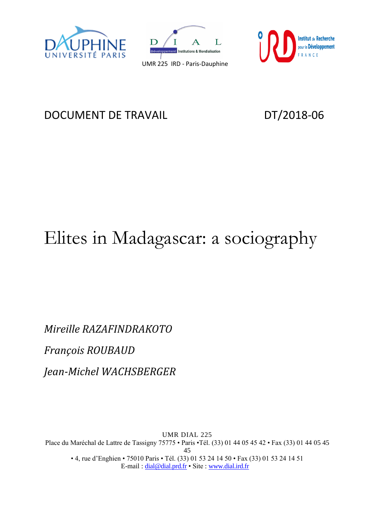





## DOCUMENT DE TRAVAIL DT/2018-06

# Elites in Madagascar: a sociography

*Mireille RAZAFINDRAKOTO François ROUBAUD Jean-Michel WACHSBERGER*

UMR DIAL 225 Place du Maréchal de Lattre de Tassigny 75775 • Paris •Tél. (33) 01 44 05 45 42 • Fax (33) 01 44 05 45 45 • 4, rue d'Enghien • 75010 Paris • Tél. (33) 01 53 24 14 50 • Fax (33) 01 53 24 14 51 E-mail : [dial@dial.prd.fr](mailto:dial@dial.prd.fr) • Site : [www.dial.ird.fr](http://www.dial.ird.fr/)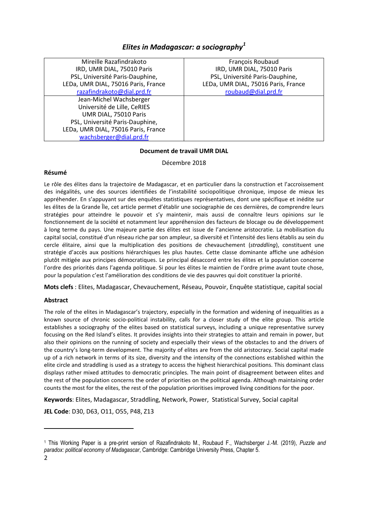#### *Elites in Madagascar: a sociography<sup>1</sup>*

| Mireille Razafindrakoto             | François Roubaud                    |
|-------------------------------------|-------------------------------------|
| IRD, UMR DIAL, 75010 Paris          | IRD, UMR DIAL, 75010 Paris          |
| PSL, Université Paris-Dauphine,     | PSL, Université Paris-Dauphine,     |
| LEDa, UMR DIAL, 75016 Paris, France | LEDa, UMR DIAL, 75016 Paris, France |
| razafindrakoto@dial.prd.fr          | roubaud@dial.prd.fr                 |
| Jean-Michel Wachsberger             |                                     |
| Université de Lille, CeRIES         |                                     |
| UMR DIAL, 75010 Paris               |                                     |
| PSL, Université Paris-Dauphine,     |                                     |
| LEDa, UMR DIAL, 75016 Paris, France |                                     |
| wachsberger@dial.prd.fr             |                                     |

#### **Document de travail UMR DIAL**

Décembre 2018

#### **Résumé**

Le rôle des élites dans la trajectoire de Madagascar, et en particulier dans la construction et l'accroissement des inégalités, une des sources identifiées de l'instabilité sociopolitique chronique, impose de mieux les appréhender. En s'appuyant sur des enquêtes statistiques représentatives, dont une spécifique et inédite sur les élites de la Grande Île, cet article permet d'établir une sociographie de ces dernières, de comprendre leurs stratégies pour atteindre le pouvoir et s'y maintenir, mais aussi de connaître leurs opinions sur le fonctionnement de la société et notamment leur appréhension des facteurs de blocage ou de développement à long terme du pays. Une majeure partie des élites est issue de l'ancienne aristocratie. La mobilisation du capital social, constitué d'un réseau riche par son ampleur, sa diversité et l'intensité des liens établis au sein du cercle élitaire, ainsi que la multiplication des positions de chevauchement (*straddling*), constituent une stratégie d'accès aux positions hiérarchiques les plus hautes. Cette classe dominante affiche une adhésion plutôt mitigée aux principes démocratiques. Le principal désaccord entre les élites et la population concerne l'ordre des priorités dans l'agenda politique. Si pour les élites le maintien de l'ordre prime avant toute chose, pour la population c'est l'amélioration des conditions de vie des pauvres qui doit constituer la priorité.

**Mots clefs** : Elites, Madagascar, Chevauchement, Réseau, Pouvoir, Enquête statistique, capital social

#### **Abstract**

The role of the elites in Madagascar's trajectory, especially in the formation and widening of inequalities as a known source of chronic socio-political instability, calls for a closer study of the elite group. This article establishes a sociography of the elites based on statistical surveys, including a unique representative survey focusing on the Red Island's elites. It provides insights into their strategies to attain and remain in power, but also their opinions on the running of society and especially their views of the obstacles to and the drivers of the country's long-term development. The majority of elites are from the old aristocracy. Social capital made up of a rich network in terms of its size, diversity and the intensity of the connections established within the elite circle and straddling is used as a strategy to access the highest hierarchical positions. This dominant class displays rather mixed attitudes to democratic principles. The main point of disagreement between elites and the rest of the population concerns the order of priorities on the political agenda. Although maintaining order counts the most for the elites, the rest of the population prioritises improved living conditions for the poor.

**Keywords**: Elites, Madagascar, Straddling, Network, Power, Statistical Survey, Social capital

**JEL Code**: D30, D63, O11, O55, P48, Z13

 $\overline{\phantom{a}}$ 

<sup>1</sup> This Working Paper is a pre-print version of Razafindrakoto M., Roubaud F., Wachsberger J.-M. (2019), *Puzzle and paradox: political economy of Madagascar*, Cambridge: Cambridge University Press, Chapter 5*.*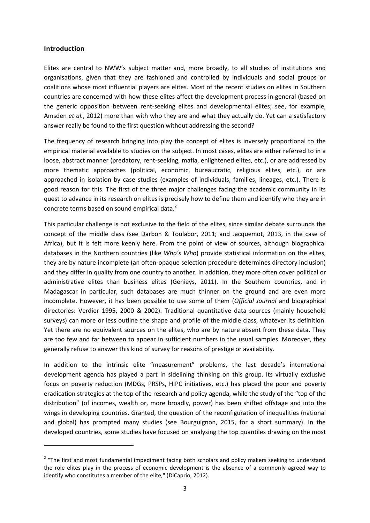#### **Introduction**

**.** 

Elites are central to NWW's subject matter and, more broadly, to all studies of institutions and organisations, given that they are fashioned and controlled by individuals and social groups or coalitions whose most influential players are elites. Most of the recent studies on elites in Southern countries are concerned with how these elites affect the development process in general (based on the generic opposition between rent-seeking elites and developmental elites; see, for example, Amsden *et al.*, 2012) more than with who they are and what they actually do. Yet can a satisfactory answer really be found to the first question without addressing the second?

The frequency of research bringing into play the concept of elites is inversely proportional to the empirical material available to studies on the subject. In most cases, elites are either referred to in a loose, abstract manner (predatory, rent-seeking, mafia, enlightened elites, etc.), or are addressed by more thematic approaches (political, economic, bureaucratic, religious elites, etc.), or are approached in isolation by case studies (examples of individuals, families, lineages, etc.). There is good reason for this. The first of the three major challenges facing the academic community in its quest to advance in its research on elites is precisely how to define them and identify who they are in concrete terms based on sound empirical data.<sup>2</sup>

This particular challenge is not exclusive to the field of the elites, since similar debate surrounds the concept of the middle class (see Darbon & Toulabor, 2011; and Jacquemot, 2013, in the case of Africa), but it is felt more keenly here. From the point of view of sources, although biographical databases in the Northern countries (like *Who's Who*) provide statistical information on the elites, they are by nature incomplete (an often-opaque selection procedure determines directory inclusion) and they differ in quality from one country to another. In addition, they more often cover political or administrative elites than business elites (Genieys, 2011). In the Southern countries, and in Madagascar in particular, such databases are much thinner on the ground and are even more incomplete. However, it has been possible to use some of them (*Official Journal* and biographical directories: Verdier 1995, 2000 & 2002). Traditional quantitative data sources (mainly household surveys) can more or less outline the shape and profile of the middle class, whatever its definition. Yet there are no equivalent sources on the elites, who are by nature absent from these data. They are too few and far between to appear in sufficient numbers in the usual samples. Moreover, they generally refuse to answer this kind of survey for reasons of prestige or availability.

In addition to the intrinsic elite "measurement" problems, the last decade's international development agenda has played a part in sidelining thinking on this group. Its virtually exclusive focus on poverty reduction (MDGs, PRSPs, HIPC initiatives, etc.) has placed the poor and poverty eradication strategies at the top of the research and policy agenda, while the study of the "top of the distribution" (of incomes, wealth or, more broadly, power) has been shifted offstage and into the wings in developing countries. Granted, the question of the reconfiguration of inequalities (national and global) has prompted many studies (see Bourguignon, 2015, for a short summary). In the developed countries, some studies have focused on analysing the top quantiles drawing on the most

<sup>&</sup>lt;sup>2</sup> "The first and most fundamental impediment facing both scholars and policy makers seeking to understand the role elites play in the process of economic development is the absence of a commonly agreed way to identify who constitutes a member of the elite," (DiCaprio, 2012).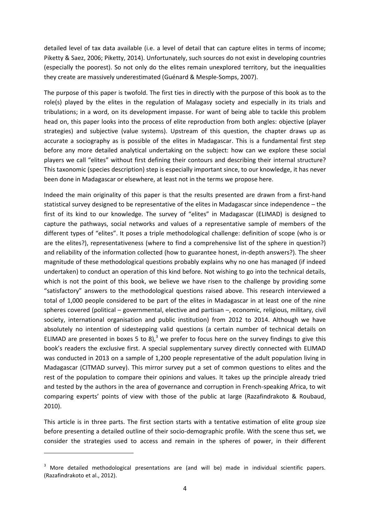detailed level of tax data available (i.e. a level of detail that can capture elites in terms of income; Piketty & Saez, 2006; Piketty, 2014). Unfortunately, such sources do not exist in developing countries (especially the poorest). So not only do the elites remain unexplored territory, but the inequalities they create are massively underestimated (Guénard & Mesple-Somps, 2007).

The purpose of this paper is twofold. The first ties in directly with the purpose of this book as to the role(s) played by the elites in the regulation of Malagasy society and especially in its trials and tribulations; in a word, on its development impasse. For want of being able to tackle this problem head on, this paper looks into the process of elite reproduction from both angles: objective (player strategies) and subjective (value systems). Upstream of this question, the chapter draws up as accurate a sociography as is possible of the elites in Madagascar. This is a fundamental first step before any more detailed analytical undertaking on the subject: how can we explore these social players we call "elites" without first defining their contours and describing their internal structure? This taxonomic (species description) step is especially important since, to our knowledge, it has never been done in Madagascar or elsewhere, at least not in the terms we propose here.

Indeed the main originality of this paper is that the results presented are drawn from a first-hand statistical survey designed to be representative of the elites in Madagascar since independence – the first of its kind to our knowledge. The survey of "elites" in Madagascar (ELIMAD) is designed to capture the pathways, social networks and values of a representative sample of members of the different types of "elites". It poses a triple methodological challenge: definition of scope (who is or are the elites?), representativeness (where to find a comprehensive list of the sphere in question?) and reliability of the information collected (how to guarantee honest, in-depth answers?). The sheer magnitude of these methodological questions probably explains why no one has managed (if indeed undertaken) to conduct an operation of this kind before. Not wishing to go into the technical details, which is not the point of this book, we believe we have risen to the challenge by providing some "satisfactory" answers to the methodological questions raised above. This research interviewed a total of 1,000 people considered to be part of the elites in Madagascar in at least one of the nine spheres covered (political – governmental, elective and partisan –, economic, religious, military, civil society, international organisation and public institution) from 2012 to 2014. Although we have absolutely no intention of sidestepping valid questions (a certain number of technical details on ELIMAD are presented in boxes 5 to 8),<sup>3</sup> we prefer to focus here on the survey findings to give this book's readers the exclusive first. A special supplementary survey directly connected with ELIMAD was conducted in 2013 on a sample of 1,200 people representative of the adult population living in Madagascar (CITMAD survey). This mirror survey put a set of common questions to elites and the rest of the population to compare their opinions and values. It takes up the principle already tried and tested by the authors in the area of governance and corruption in French-speaking Africa, to wit comparing experts' points of view with those of the public at large (Razafindrakoto & Roubaud, 2010).

This article is in three parts. The first section starts with a tentative estimation of elite group size before presenting a detailed outline of their socio-demographic profile. With the scene thus set, we consider the strategies used to access and remain in the spheres of power, in their different

<sup>&</sup>lt;sup>3</sup> More detailed methodological presentations are (and will be) made in individual scientific papers. (Razafindrakoto et al., 2012).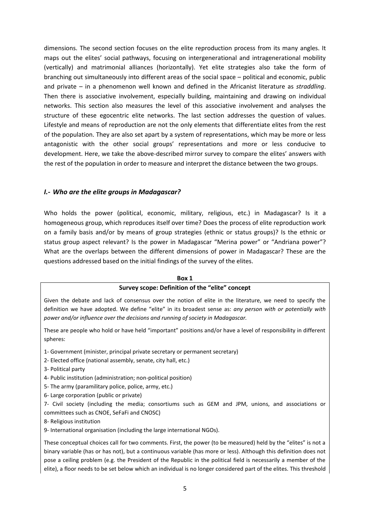dimensions. The second section focuses on the elite reproduction process from its many angles. It maps out the elites' social pathways, focusing on intergenerational and intragenerational mobility (vertically) and matrimonial alliances (horizontally). Yet elite strategies also take the form of branching out simultaneously into different areas of the social space – political and economic, public and private – in a phenomenon well known and defined in the Africanist literature as *straddling*. Then there is associative involvement, especially building, maintaining and drawing on individual networks. This section also measures the level of this associative involvement and analyses the structure of these egocentric elite networks. The last section addresses the question of values. Lifestyle and means of reproduction are not the only elements that differentiate elites from the rest of the population. They are also set apart by a system of representations, which may be more or less antagonistic with the other social groups' representations and more or less conducive to development. Here, we take the above-described mirror survey to compare the elites' answers with the rest of the population in order to measure and interpret the distance between the two groups.

#### *I.- Who are the elite groups in Madagascar?*

Who holds the power (political, economic, military, religious, etc.) in Madagascar? Is it a homogeneous group, which reproduces itself over time? Does the process of elite reproduction work on a family basis and/or by means of group strategies (ethnic or status groups)? Is the ethnic or status group aspect relevant? Is the power in Madagascar "Merina power" or "Andriana power"? What are the overlaps between the different dimensions of power in Madagascar? These are the questions addressed based on the initial findings of the survey of the elites.

#### **Box 1**

#### **Survey scope: Definition of the "elite" concept**

Given the debate and lack of consensus over the notion of elite in the literature, we need to specify the definition we have adopted. We define "elite" in its broadest sense as: *any person with or potentially with power and/or influence over the decisions and running of society in Madagascar.* 

These are people who hold or have held "important" positions and/or have a level of responsibility in different spheres:

- 1- Government (minister, principal private secretary or permanent secretary)
- 2- Elected office (national assembly, senate, city hall, etc.)
- 3- Political party
- 4- Public institution (administration; non-political position)
- 5- The army (paramilitary police, police, army, etc.)
- 6- Large corporation (public or private)
- 7- Civil society (including the media; consortiums such as GEM and JPM, unions, and associations or committees such as CNOE, SeFaFi and CNOSC)
- 8- Religious institution
- 9- International organisation (including the large international NGOs).

These conceptual choices call for two comments. First, the power (to be measured) held by the "elites" is not a binary variable (has or has not), but a continuous variable (has more or less). Although this definition does not pose a ceiling problem (e.g. the President of the Republic in the political field is necessarily a member of the elite), a floor needs to be set below which an individual is no longer considered part of the elites. This threshold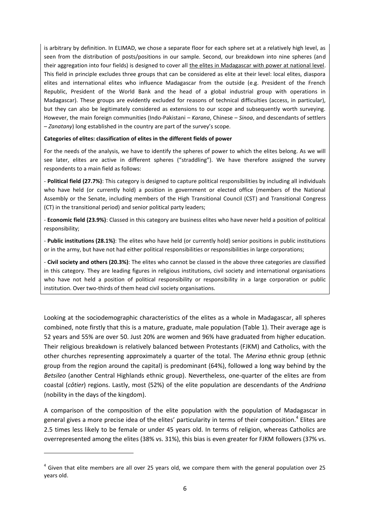is arbitrary by definition. In ELIMAD, we chose a separate floor for each sphere set at a relatively high level, as seen from the distribution of posts/positions in our sample. Second, our breakdown into nine spheres (and their aggregation into four fields) is designed to cover all the elites in Madagascar with power at national level. This field in principle excludes three groups that can be considered as elite at their level: local elites, diaspora elites and international elites who influence Madagascar from the outside (e.g. President of the French Republic, President of the World Bank and the head of a global industrial group with operations in Madagascar). These groups are evidently excluded for reasons of technical difficulties (access, in particular), but they can also be legitimately considered as extensions to our scope and subsequently worth surveying. However, the main foreign communities (Indo-Pakistani – *Karana*, Chinese – *Sinoa*, and descendants of settlers – *Zanatany*) long established in the country are part of the survey's scope.

#### **Categories of elites: classification of elites in the different fields of power**

For the needs of the analysis, we have to identify the spheres of power to which the elites belong. As we will see later, elites are active in different spheres ("straddling"). We have therefore assigned the survey respondents to a main field as follows:

- **Political field (27.7%)**: This category is designed to capture political responsibilities by including all individuals who have held (or currently hold) a position in government or elected office (members of the National Assembly or the Senate, including members of the High Transitional Council (CST) and Transitional Congress (CT) in the transitional period) and senior political party leaders;

- **Economic field (23.9%)**: Classed in this category are business elites who have never held a position of political responsibility;

- **Public institutions (28.1%)**: The elites who have held (or currently hold) senior positions in public institutions or in the army, but have not had either political responsibilities or responsibilities in large corporations;

- **Civil society and others (20.3%)**: The elites who cannot be classed in the above three categories are classified in this category. They are leading figures in religious institutions, civil society and international organisations who have not held a position of political responsibility or responsibility in a large corporation or public institution. Over two-thirds of them head civil society organisations.

Looking at the sociodemographic characteristics of the elites as a whole in Madagascar, all spheres combined, note firstly that this is a mature, graduate, male population (Table 1). Their average age is 52 years and 55% are over 50. Just 20% are women and 96% have graduated from higher education. Their religious breakdown is relatively balanced between Protestants (FJKM) and Catholics, with the other churches representing approximately a quarter of the total. The *Merina* ethnic group (ethnic group from the region around the capital) is predominant (64%), followed a long way behind by the *Betsileo* (another Central Highlands ethnic group). Nevertheless, one-quarter of the elites are from coastal (*côtier*) regions. Lastly, most (52%) of the elite population are descendants of the *Andriana* (nobility in the days of the kingdom).

A comparison of the composition of the elite population with the population of Madagascar in general gives a more precise idea of the elites' particularity in terms of their composition.<sup>4</sup> Elites are 2.5 times less likely to be female or under 45 years old. In terms of religion, whereas Catholics are overrepresented among the elites (38% vs. 31%), this bias is even greater for FJKM followers (37% vs.

 $<sup>4</sup>$  Given that elite members are all over 25 years old, we compare them with the general population over 25</sup> years old.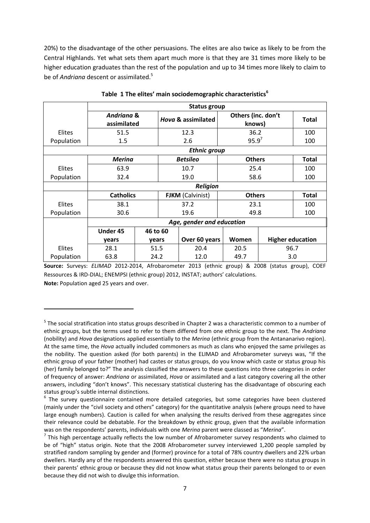20%) to the disadvantage of the other persuasions. The elites are also twice as likely to be from the Central Highlands. Yet what sets them apart much more is that they are 31 times more likely to be higher education graduates than the rest of the population and up to 34 times more likely to claim to be of *Andriana* descent or assimilated.<sup>5</sup>

|               |                                      |          |                         | Status group              |               |                              |                         |  |
|---------------|--------------------------------------|----------|-------------------------|---------------------------|---------------|------------------------------|-------------------------|--|
|               | <b>Andriana &amp;</b><br>assimilated |          | Hova & assimilated      |                           |               | Others (inc. don't<br>knows) | <b>Total</b>            |  |
| <b>Elites</b> | 51.5                                 |          |                         | 12.3                      |               | 36.2                         | 100                     |  |
| Population    | 1.5                                  |          |                         | 2.6                       |               | $95.9^{7}$                   | 100                     |  |
|               |                                      |          |                         | <b>Ethnic group</b>       |               |                              |                         |  |
|               | <b>Merina</b>                        |          |                         | <b>Betsileo</b>           |               | <b>Others</b>                | <b>Total</b>            |  |
| Elites        | 63.9                                 |          |                         | 10.7                      |               | 25.4                         |                         |  |
| Population    | 32.4                                 |          | 19.0                    |                           |               | 58.6                         |                         |  |
|               |                                      |          |                         | <b>Religion</b>           |               |                              |                         |  |
|               | <b>Catholics</b>                     |          | <b>FJKM</b> (Calvinist) |                           | <b>Others</b> | <b>Total</b>                 |                         |  |
| <b>Elites</b> | 38.1                                 |          |                         | 37.2                      | 23.1          |                              | 100                     |  |
| Population    | 30.6                                 |          |                         | 19.6                      |               | 49.8                         | 100                     |  |
|               |                                      |          |                         | Age, gender and education |               |                              |                         |  |
|               | Under 45                             | 46 to 60 |                         |                           |               |                              |                         |  |
|               | years                                | years    |                         | Over 60 years             | Women         |                              | <b>Higher education</b> |  |
| <b>Elites</b> | 28.1                                 | 51.5     |                         | 20.4                      | 20.5          |                              | 96.7                    |  |
| Population    | 63.8                                 | 24.2     |                         | 12.0                      | 49.7          |                              | 3.0                     |  |

**Table 1 The elites' main sociodemographic characteristics<sup>6</sup>**

**Source:** Surveys: *ELIMAD* 2012-2014, Afrobarometer 2013 (ethnic group) & 2008 (status group), COEF Ressources & IRD-DIAL; ENEMPSI (ethnic group) 2012, INSTAT; authors' calculations.

**Note:** Population aged 25 years and over.

<sup>&</sup>lt;sup>5</sup> The social stratification into status groups described in Chapter 2 was a characteristic common to a number of ethnic groups, but the terms used to refer to them differed from one ethnic group to the next. The *Andriana* (nobility) and *Hova* designations applied essentially to the *Merina* (ethnic group from the Antananarivo region). At the same time, the *Hova* actually included commoners as much as clans who enjoyed the same privileges as the nobility. The question asked (for both parents) in the ELIMAD and Afrobarometer surveys was, "If the ethnic group of your father (mother) had castes or status groups, do you know which caste or status group his (her) family belonged to?" The analysis classified the answers to these questions into three categories in order of frequency of answer: *Andriana* or assimilated, *Hova* or assimilated and a last category covering all the other answers, including "don't knows". This necessary statistical clustering has the disadvantage of obscuring each status group's subtle internal distinctions.

<sup>&</sup>lt;sup>6</sup> The survey questionnaire contained more detailed categories, but some categories have been clustered (mainly under the "civil society and others" category) for the quantitative analysis (where groups need to have large enough numbers). Caution is called for when analysing the results derived from these aggregates since their relevance could be debatable. For the breakdown by ethnic group, given that the available information was on the respondents' parents, individuals with one *Merina* parent were classed as "*Merina*".

 $<sup>7</sup>$  This high percentage actually reflects the low number of Afrobarometer survey respondents who claimed to</sup> be of "high" status origin. Note that the 2008 Afrobarometer survey interviewed 1,200 people sampled by stratified random sampling by gender and (former) province for a total of 78% country dwellers and 22% urban dwellers. Hardly any of the respondents answered this question, either because there were no status groups in their parents' ethnic group or because they did not know what status group their parents belonged to or even because they did not wish to divulge this information.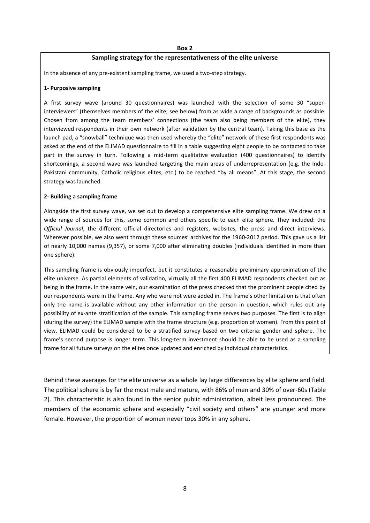#### **Box 2**

#### **Sampling strategy for the representativeness of the elite universe**

In the absence of any pre-existent sampling frame, we used a two-step strategy.

#### **1- Purposive sampling**

A first survey wave (around 30 questionnaires) was launched with the selection of some 30 "superinterviewers" (themselves members of the elite; see below) from as wide a range of backgrounds as possible. Chosen from among the team members' connections (the team also being members of the elite), they interviewed respondents in their own network (after validation by the central team). Taking this base as the launch pad, a "snowball" technique was then used whereby the "elite" network of these first respondents was asked at the end of the ELIMAD questionnaire to fill in a table suggesting eight people to be contacted to take part in the survey in turn. Following a mid-term qualitative evaluation (400 questionnaires) to identify shortcomings, a second wave was launched targeting the main areas of underrepresentation (e.g. the Indo-Pakistani community, Catholic religious elites, etc.) to be reached "by all means". At this stage, the second strategy was launched.

#### **2- Building a sampling frame**

Alongside the first survey wave, we set out to develop a comprehensive elite sampling frame. We drew on a wide range of sources for this, some common and others specific to each elite sphere. They included: the *Official Journal*, the different official directories and registers, websites, the press and direct interviews. Wherever possible, we also went through these sources' archives for the 1960-2012 period. This gave us a list of nearly 10,000 names (9,357), or some 7,000 after eliminating doubles (individuals identified in more than one sphere).

This sampling frame is obviously imperfect, but it constitutes a reasonable preliminary approximation of the elite universe. As partial elements of validation, virtually all the first 400 ELIMAD respondents checked out as being in the frame. In the same vein, our examination of the press checked that the prominent people cited by our respondents were in the frame. Any who were not were added in. The frame's other limitation is that often only the name is available without any other information on the person in question, which rules out any possibility of ex-ante stratification of the sample. This sampling frame serves two purposes. The first is to align (during the survey) the ELIMAD sample with the frame structure (e.g. proportion of women). From this point of view, ELIMAD could be considered to be a stratified survey based on two criteria: gender and sphere. The frame's second purpose is longer term. This long-term investment should be able to be used as a sampling frame for all future surveys on the elites once updated and enriched by individual characteristics.

Behind these averages for the elite universe as a whole lay large differences by elite sphere and field. The political sphere is by far the most male and mature, with 86% of men and 30% of over-60s (Table 2). This characteristic is also found in the senior public administration, albeit less pronounced. The members of the economic sphere and especially "civil society and others" are younger and more female. However, the proportion of women never tops 30% in any sphere.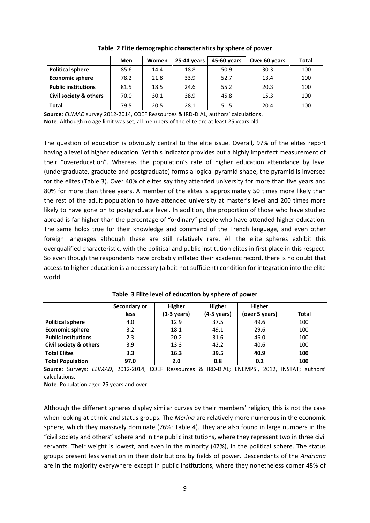|                            | Men  | Women | 45-60 years<br>25-44 years |      | Over 60 years | <b>Total</b> |
|----------------------------|------|-------|----------------------------|------|---------------|--------------|
| <b>Political sphere</b>    | 85.6 | 14.4  | 18.8                       | 50.9 | 30.3          | 100          |
| <b>Economic sphere</b>     | 78.2 | 21.8  | 33.9                       | 52.7 | 13.4          | 100          |
| <b>Public institutions</b> | 81.5 | 18.5  | 24.6                       | 55.2 | 20.3          | 100          |
| Civil society & others     | 70.0 | 30.1  | 38.9                       | 45.8 | 15.3          | 100          |
| <b>Total</b>               | 79.5 | 20.5  | 28.1                       | 51.5 | 20.4          | 100          |

**Table 2 Elite demographic characteristics by sphere of power**

**Source**: *ELIMAD* survey 2012-2014, COEF Ressources & IRD-DIAL, authors' calculations. **Note**: Although no age limit was set, all members of the elite are at least 25 years old.

The question of education is obviously central to the elite issue. Overall, 97% of the elites report having a level of higher education. Yet this indicator provides but a highly imperfect measurement of their "overeducation". Whereas the population's rate of higher education attendance by level (undergraduate, graduate and postgraduate) forms a logical pyramid shape, the pyramid is inversed for the elites (Table 3). Over 40% of elites say they attended university for more than five years and 80% for more than three years. A member of the elites is approximately 50 times more likely than the rest of the adult population to have attended university at master's level and 200 times more likely to have gone on to postgraduate level. In addition, the proportion of those who have studied abroad is far higher than the percentage of "ordinary" people who have attended higher education. The same holds true for their knowledge and command of the French language, and even other foreign languages although these are still relatively rare. All the elite spheres exhibit this overqualified characteristic, with the political and public institution elites in first place in this respect. So even though the respondents have probably inflated their academic record, there is no doubt that access to higher education is a necessary (albeit not sufficient) condition for integration into the elite world.

|                            | Secondary or | <b>Higher</b>         | Higher                | Higher         |              |
|----------------------------|--------------|-----------------------|-----------------------|----------------|--------------|
|                            | less         | $(1-3 \text{ years})$ | $(4-5 \text{ years})$ | (over 5 years) | <b>Total</b> |
| <b>Political sphere</b>    | 4.0          | 12.9                  | 37.5                  | 49.6           | 100          |
| <b>Economic sphere</b>     | 3.2          | 18.1                  | 49.1                  | 29.6           | 100          |
| <b>Public institutions</b> | 2.3          | 20.2                  | 31.6                  | 46.0           | 100          |
| Civil society & others     | 3.9          | 13.3                  | 42.2                  | 40.6           | 100          |
| <b>Total Elites</b>        | 3.3          | 16.3                  | 39.5                  | 40.9           | 100          |
| <b>Total Population</b>    | 97.0         | 2.0                   | 0.8                   | 0.2            | 100          |

**Table 3 Elite level of education by sphere of power**

**Source**: Surveys: *ELIMAD*, 2012-2014, COEF Ressources & IRD-DIAL; ENEMPSI, 2012, INSTAT; authors' calculations.

**Note**: Population aged 25 years and over.

Although the different spheres display similar curves by their members' religion, this is not the case when looking at ethnic and status groups. The *Merina* are relatively more numerous in the economic sphere, which they massively dominate (76%; Table 4). They are also found in large numbers in the "civil society and others" sphere and in the public institutions, where they represent two in three civil servants. Their weight is lowest, and even in the minority (47%), in the political sphere. The status groups present less variation in their distributions by fields of power. Descendants of the *Andriana* are in the majority everywhere except in public institutions, where they nonetheless corner 48% of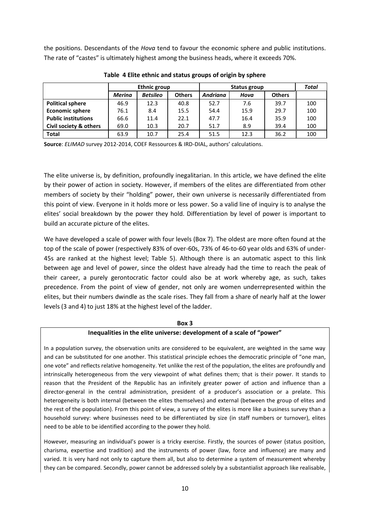the positions. Descendants of the *Hova* tend to favour the economic sphere and public institutions. The rate of "castes" is ultimately highest among the business heads, where it exceeds 70%.

|                                   |               | <b>Ethnic group</b> |               |                 | Total |               |     |
|-----------------------------------|---------------|---------------------|---------------|-----------------|-------|---------------|-----|
|                                   | <b>Merina</b> | <b>Betsileo</b>     | <b>Others</b> | <b>Andriana</b> | Hova  | <b>Others</b> |     |
| <b>Political sphere</b>           | 46.9          | 12.3                | 40.8          | 52.7            | 7.6   | 39.7          | 100 |
| <b>Economic sphere</b>            | 76.1          | 8.4                 | 15.5          | 54.4            | 15.9  | 29.7          | 100 |
| <b>Public institutions</b>        | 66.6          | 11.4                | 22.1          | 47.7            | 16.4  | 35.9          | 100 |
| <b>Civil society &amp; others</b> | 69.0          | 10.3                | 20.7          | 51.7            | 8.9   | 39.4          | 100 |
| <b>Total</b>                      | 63.9          | 10.7                | 25.4          | 51.5            | 12.3  | 36.2          | 100 |

**Table 4 Elite ethnic and status groups of origin by sphere**

**Source**: *ELIMAD* survey 2012-2014, COEF Ressources & IRD-DIAL, authors' calculations.

The elite universe is, by definition, profoundly inegalitarian. In this article, we have defined the elite by their power of action in society. However, if members of the elites are differentiated from other members of society by their "holding" power, their own universe is necessarily differentiated from this point of view. Everyone in it holds more or less power. So a valid line of inquiry is to analyse the elites' social breakdown by the power they hold. Differentiation by level of power is important to build an accurate picture of the elites.

We have developed a scale of power with four levels (Box 7). The oldest are more often found at the top of the scale of power (respectively 83% of over-60s, 73% of 46-to-60 year olds and 63% of under-45s are ranked at the highest level; Table 5). Although there is an automatic aspect to this link between age and level of power, since the oldest have already had the time to reach the peak of their career, a purely gerontocratic factor could also be at work whereby age, as such, takes precedence. From the point of view of gender, not only are women underrepresented within the elites, but their numbers dwindle as the scale rises. They fall from a share of nearly half at the lower levels (3 and 4) to just 18% at the highest level of the ladder.

#### **Box 3**

#### **Inequalities in the elite universe: development of a scale of "power"**

In a population survey, the observation units are considered to be equivalent, are weighted in the same way and can be substituted for one another. This statistical principle echoes the democratic principle of "one man, one vote" and reflects relative homogeneity. Yet unlike the rest of the population, the elites are profoundly and intrinsically heterogeneous from the very viewpoint of what defines them; that is their power. It stands to reason that the President of the Republic has an infinitely greater power of action and influence than a director-general in the central administration, president of a producer's association or a prelate. This heterogeneity is both internal (between the elites themselves) and external (between the group of elites and the rest of the population). From this point of view, a survey of the elites is more like a business survey than a household survey: where businesses need to be differentiated by size (in staff numbers or turnover), elites need to be able to be identified according to the power they hold.

However, measuring an individual's power is a tricky exercise. Firstly, the sources of power (status position, charisma, expertise and tradition) and the instruments of power (law, force and influence) are many and varied. It is very hard not only to capture them all, but also to determine a system of measurement whereby they can be compared. Secondly, power cannot be addressed solely by a substantialist approach like realisable,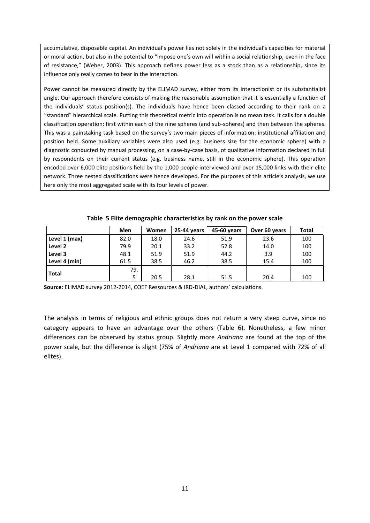accumulative, disposable capital. An individual's power lies not solely in the individual's capacities for material or moral action, but also in the potential to "impose one's own will within a social relationship, even in the face of resistance," (Weber, 2003). This approach defines power less as a stock than as a relationship, since its influence only really comes to bear in the interaction.

Power cannot be measured directly by the ELIMAD survey, either from its interactionist or its substantialist angle. Our approach therefore consists of making the reasonable assumption that it is essentially a function of the individuals' status position(s). The individuals have hence been classed according to their rank on a "standard" hierarchical scale. Putting this theoretical metric into operation is no mean task. It calls for a double classification operation: first within each of the nine spheres (and sub-spheres) and then between the spheres. This was a painstaking task based on the survey's two main pieces of information: institutional affiliation and position held. Some auxiliary variables were also used (e.g. business size for the economic sphere) with a diagnostic conducted by manual processing, on a case-by-case basis, of qualitative information declared in full by respondents on their current status (e.g. business name, still in the economic sphere). This operation encoded over 6,000 elite positions held by the 1,000 people interviewed and over 15,000 links with their elite network. Three nested classifications were hence developed. For the purposes of this article's analysis, we use here only the most aggregated scale with its four levels of power.

|               | Men  | Women | 25-44 years | 45-60 years | Over 60 years | <b>Total</b> |
|---------------|------|-------|-------------|-------------|---------------|--------------|
| Level 1 (max) | 82.0 | 18.0  | 24.6        | 51.9        | 23.6          | 100          |
| Level 2       | 79.9 | 20.1  | 33.2        | 52.8        | 14.0          | 100          |
| Level 3       | 48.1 | 51.9  | 51.9        | 44.2        | 3.9           | 100          |
| Level 4 (min) | 61.5 | 38.5  | 46.2        | 38.5        | 15.4          | 100          |
| <b>Total</b>  | 79.  |       |             |             |               |              |
|               | 5    | 20.5  | 28.1        | 51.5        | 20.4          | 100          |

**Table 5 Elite demographic characteristics by rank on the power scale**

**Source**: ELIMAD survey 2012-2014, COEF Ressources & IRD-DIAL, authors' calculations.

The analysis in terms of religious and ethnic groups does not return a very steep curve, since no category appears to have an advantage over the others (Table 6). Nonetheless, a few minor differences can be observed by status group. Slightly more *Andriana* are found at the top of the power scale, but the difference is slight (75% of *Andriana* are at Level 1 compared with 72% of all elites).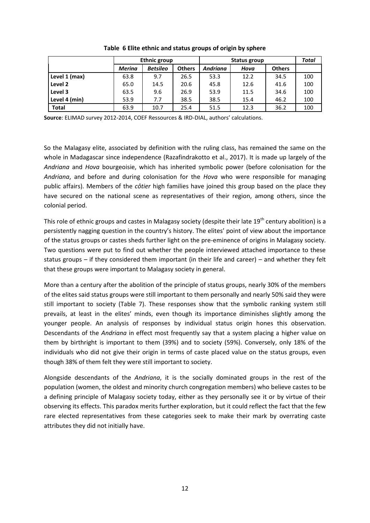|               |               | <b>Ethnic group</b> |               | Status group | Total |               |     |
|---------------|---------------|---------------------|---------------|--------------|-------|---------------|-----|
|               | <b>Merina</b> | <b>Betsileo</b>     | <b>Others</b> | Andriana     | Hova  | <b>Others</b> |     |
| Level 1 (max) | 63.8          | 9.7                 | 26.5          | 53.3         | 12.2  | 34.5          | 100 |
| Level 2       | 65.0          | 14.5                | 20.6          | 45.8         | 12.6  | 41.6          | 100 |
| Level 3       | 63.5          | 9.6                 | 26.9          | 53.9         | 11.5  | 34.6          | 100 |
| Level 4 (min) | 53.9          | 7.7                 | 38.5          | 38.5         | 15.4  | 46.2          | 100 |
| <b>Total</b>  | 63.9          | 10.7                | 25.4          | 51.5         | 12.3  | 36.2          | 100 |

**Table 6 Elite ethnic and status groups of origin by sphere**

**Source**: ELIMAD survey 2012-2014, COEF Ressources & IRD-DIAL, authors' calculations.

So the Malagasy elite, associated by definition with the ruling class, has remained the same on the whole in Madagascar since independence (Razafindrakotto et al., 2017). It is made up largely of the *Andriana* and *Hova* bourgeoisie, which has inherited symbolic power (before colonisation for the *Andriana*, and before and during colonisation for the *Hova* who were responsible for managing public affairs). Members of the *côtier* high families have joined this group based on the place they have secured on the national scene as representatives of their region, among others, since the colonial period.

This role of ethnic groups and castes in Malagasy society (despite their late  $19<sup>th</sup>$  century abolition) is a persistently nagging question in the country's history. The elites' point of view about the importance of the status groups or castes sheds further light on the pre-eminence of origins in Malagasy society. Two questions were put to find out whether the people interviewed attached importance to these status groups – if they considered them important (in their life and career) – and whether they felt that these groups were important to Malagasy society in general.

More than a century after the abolition of the principle of status groups, nearly 30% of the members of the elites said status groups were still important to them personally and nearly 50% said they were still important to society (Table 7). These responses show that the symbolic ranking system still prevails, at least in the elites' minds, even though its importance diminishes slightly among the younger people. An analysis of responses by individual status origin hones this observation. Descendants of the *Andriana* in effect most frequently say that a system placing a higher value on them by birthright is important to them (39%) and to society (59%). Conversely, only 18% of the individuals who did not give their origin in terms of caste placed value on the status groups, even though 38% of them felt they were still important to society.

Alongside descendants of the *Andriana*, it is the socially dominated groups in the rest of the population (women, the oldest and minority church congregation members) who believe castes to be a defining principle of Malagasy society today, either as they personally see it or by virtue of their observing its effects. This paradox merits further exploration, but it could reflect the fact that the few rare elected representatives from these categories seek to make their mark by overrating caste attributes they did not initially have.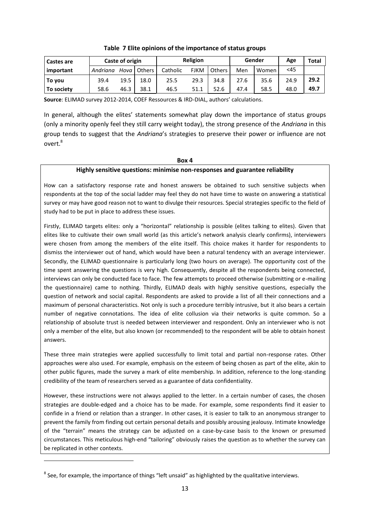| Castes are | Caste of origin |        |           | Religion |             |        |      | Gender | Age  | Total |
|------------|-----------------|--------|-----------|----------|-------------|--------|------|--------|------|-------|
| important  | Andriana        | Hova I | Others II | Catholic | <b>FJKM</b> | Others | Men  | Women  | $45$ |       |
| To you     | 39.4            | 19.5   | 18.0      | 25.5     | 29.3        | 34.8   | 27.6 | 35.6   | 24.9 | 29.2  |
| To society | 58.6            | 46.3   | 38.1      | 46.5     | 51.1        | 52.6   | 47.4 | 58.5   | 48.0 | 49.7  |

#### **Table 7 Elite opinions of the importance of status groups**

**Source**: ELIMAD survey 2012-2014, COEF Ressources & IRD-DIAL, authors' calculations.

In general, although the elites' statements somewhat play down the importance of status groups (only a minority openly feel they still carry weight today), the strong presence of the *Andriana* in this group tends to suggest that the *Andriana*'s strategies to preserve their power or influence are not overt.<sup>8</sup>

#### **Box 4**

#### **Highly sensitive questions: minimise non-responses and guarantee reliability**

How can a satisfactory response rate and honest answers be obtained to such sensitive subjects when respondents at the top of the social ladder may feel they do not have time to waste on answering a statistical survey or may have good reason not to want to divulge their resources. Special strategies specific to the field of study had to be put in place to address these issues.

Firstly, ELIMAD targets elites: only a "horizontal" relationship is possible (elites talking to elites). Given that elites like to cultivate their own small world (as this article's network analysis clearly confirms), interviewers were chosen from among the members of the elite itself. This choice makes it harder for respondents to dismiss the interviewer out of hand, which would have been a natural tendency with an average interviewer. Secondly, the ELIMAD questionnaire is particularly long (two hours on average). The opportunity cost of the time spent answering the questions is very high. Consequently, despite all the respondents being connected, interviews can only be conducted face to face. The few attempts to proceed otherwise (submitting or e-mailing the questionnaire) came to nothing. Thirdly, ELIMAD deals with highly sensitive questions, especially the question of network and social capital. Respondents are asked to provide a list of all their connections and a maximum of personal characteristics. Not only is such a procedure terribly intrusive, but it also bears a certain number of negative connotations. The idea of elite collusion via their networks is quite common. So a relationship of absolute trust is needed between interviewer and respondent. Only an interviewer who is not only a member of the elite, but also known (or recommended) to the respondent will be able to obtain honest answers.

These three main strategies were applied successfully to limit total and partial non-response rates. Other approaches were also used. For example, emphasis on the esteem of being chosen as part of the elite, akin to other public figures, made the survey a mark of elite membership. In addition, reference to the long-standing credibility of the team of researchers served as a guarantee of data confidentiality.

However, these instructions were not always applied to the letter. In a certain number of cases, the chosen strategies are double-edged and a choice has to be made. For example, some respondents find it easier to confide in a friend or relation than a stranger. In other cases, it is easier to talk to an anonymous stranger to prevent the family from finding out certain personal details and possibly arousing jealousy. Intimate knowledge of the "terrain" means the strategy can be adjusted on a case-by-case basis to the known or presumed circumstances. This meticulous high-end "tailoring" obviously raises the question as to whether the survey can be replicated in other contexts.

1

 $^8$  See, for example, the importance of things "left unsaid" as highlighted by the qualitative interviews.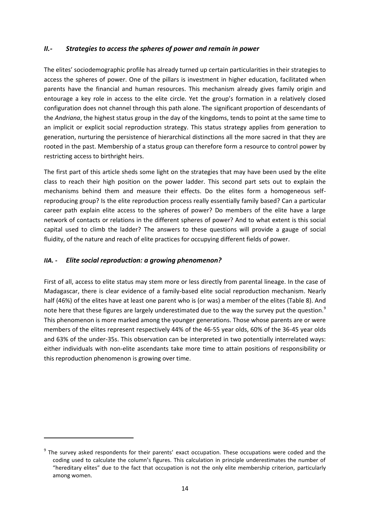#### *II.- Strategies to access the spheres of power and remain in power*

The elites' sociodemographic profile has already turned up certain particularities in their strategies to access the spheres of power. One of the pillars is investment in higher education, facilitated when parents have the financial and human resources. This mechanism already gives family origin and entourage a key role in access to the elite circle. Yet the group's formation in a relatively closed configuration does not channel through this path alone. The significant proportion of descendants of the *Andriana*, the highest status group in the day of the kingdoms, tends to point at the same time to an implicit or explicit social reproduction strategy. This status strategy applies from generation to generation, nurturing the persistence of hierarchical distinctions all the more sacred in that they are rooted in the past. Membership of a status group can therefore form a resource to control power by restricting access to birthright heirs.

The first part of this article sheds some light on the strategies that may have been used by the elite class to reach their high position on the power ladder. This second part sets out to explain the mechanisms behind them and measure their effects. Do the elites form a homogeneous selfreproducing group? Is the elite reproduction process really essentially family based? Can a particular career path explain elite access to the spheres of power? Do members of the elite have a large network of contacts or relations in the different spheres of power? And to what extent is this social capital used to climb the ladder? The answers to these questions will provide a gauge of social fluidity, of the nature and reach of elite practices for occupying different fields of power.

#### *IIA. - Elite social reproduction: a growing phenomenon?*

**.** 

First of all, access to elite status may stem more or less directly from parental lineage. In the case of Madagascar, there is clear evidence of a family-based elite social reproduction mechanism. Nearly half (46%) of the elites have at least one parent who is (or was) a member of the elites (Table 8). And note here that these figures are largely underestimated due to the way the survey put the question.<sup>9</sup> This phenomenon is more marked among the younger generations. Those whose parents are or were members of the elites represent respectively 44% of the 46-55 year olds, 60% of the 36-45 year olds and 63% of the under-35s. This observation can be interpreted in two potentially interrelated ways: either individuals with non-elite ascendants take more time to attain positions of responsibility or this reproduction phenomenon is growing over time.

 $9$  The survey asked respondents for their parents' exact occupation. These occupations were coded and the coding used to calculate the column's figures. This calculation in principle underestimates the number of "hereditary elites" due to the fact that occupation is not the only elite membership criterion, particularly among women.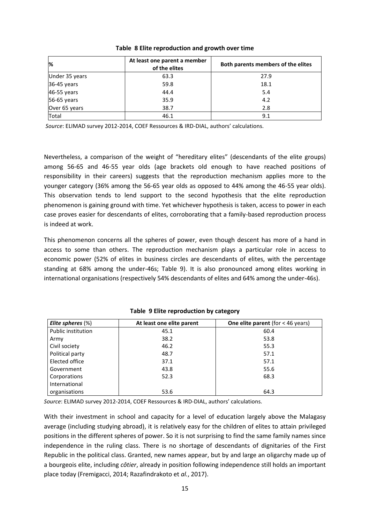| $\frac{9}{6}$  | At least one parent a member<br>of the elites | Both parents members of the elites |
|----------------|-----------------------------------------------|------------------------------------|
| Under 35 years | 63.3                                          | 27.9                               |
| 36-45 years    | 59.8                                          | 18.1                               |
| 46-55 years    | 44.4                                          | 5.4                                |
| 56-65 years    | 35.9                                          | 4.2                                |
| Over 65 years  | 38.7                                          | 2.8                                |
| Total          | 46.1                                          | 9.1                                |

#### **Table 8 Elite reproduction and growth over time**

*Source*: ELIMAD survey 2012-2014, COEF Ressources & IRD-DIAL, authors' calculations.

Nevertheless, a comparison of the weight of "hereditary elites" (descendants of the elite groups) among 56-65 and 46-55 year olds (age brackets old enough to have reached positions of responsibility in their careers) suggests that the reproduction mechanism applies more to the younger category (36% among the 56-65 year olds as opposed to 44% among the 46-55 year olds). This observation tends to lend support to the second hypothesis that the elite reproduction phenomenon is gaining ground with time. Yet whichever hypothesis is taken, access to power in each case proves easier for descendants of elites, corroborating that a family-based reproduction process is indeed at work.

This phenomenon concerns all the spheres of power, even though descent has more of a hand in access to some than others. The reproduction mechanism plays a particular role in access to economic power (52% of elites in business circles are descendants of elites, with the percentage standing at 68% among the under-46s; Table 9). It is also pronounced among elites working in international organisations (respectively 54% descendants of elites and 64% among the under-46s).

| Elite spheres $(\%)$      | At least one elite parent | <b>One elite parent</b> (for $<$ 46 years) |
|---------------------------|---------------------------|--------------------------------------------|
| <b>Public institution</b> | 45.1                      | 60.4                                       |
| Army                      | 38.2                      | 53.8                                       |
| Civil society             | 46.2                      | 55.3                                       |
| Political party           | 48.7                      | 57.1                                       |
| Elected office            | 37.1                      | 57.1                                       |
| Government                | 43.8                      | 55.6                                       |
| Corporations              | 52.3                      | 68.3                                       |
| International             |                           |                                            |
| organisations             | 53.6                      | 64.3                                       |

#### **Table 9 Elite reproduction by category**

*Source*: ELIMAD survey 2012-2014, COEF Ressources & IRD-DIAL, authors' calculations.

With their investment in school and capacity for a level of education largely above the Malagasy average (including studying abroad), it is relatively easy for the children of elites to attain privileged positions in the different spheres of power. So it is not surprising to find the same family names since independence in the ruling class. There is no shortage of descendants of dignitaries of the First Republic in the political class. Granted, new names appear, but by and large an oligarchy made up of a bourgeois elite, including *côtier*, already in position following independence still holds an important place today (Fremigacci, 2014; Razafindrakoto et *al.*, 2017).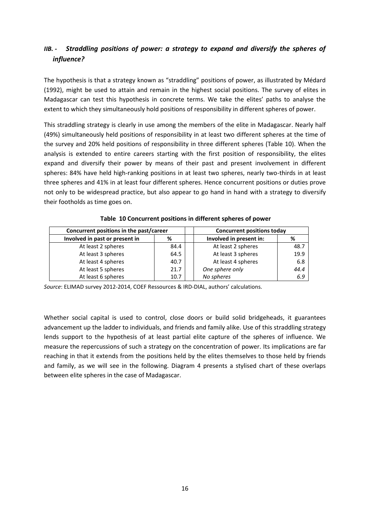### *IIB. - Straddling positions of power: a strategy to expand and diversify the spheres of influence?*

The hypothesis is that a strategy known as "straddling" positions of power, as illustrated by Médard (1992), might be used to attain and remain in the highest social positions. The survey of elites in Madagascar can test this hypothesis in concrete terms. We take the elites' paths to analyse the extent to which they simultaneously hold positions of responsibility in different spheres of power.

This straddling strategy is clearly in use among the members of the elite in Madagascar. Nearly half (49%) simultaneously held positions of responsibility in at least two different spheres at the time of the survey and 20% held positions of responsibility in three different spheres (Table 10). When the analysis is extended to entire careers starting with the first position of responsibility, the elites expand and diversify their power by means of their past and present involvement in different spheres: 84% have held high-ranking positions in at least two spheres, nearly two-thirds in at least three spheres and 41% in at least four different spheres. Hence concurrent positions or duties prove not only to be widespread practice, but also appear to go hand in hand with a strategy to diversify their footholds as time goes on.

| Concurrent positions in the past/career | <b>Concurrent positions today</b> |                         |      |
|-----------------------------------------|-----------------------------------|-------------------------|------|
| Involved in past or present in<br>%     |                                   | Involved in present in: | %    |
| At least 2 spheres                      | 84.4                              | At least 2 spheres      | 48.7 |
| At least 3 spheres                      | 64.5                              | At least 3 spheres      | 19.9 |
| At least 4 spheres                      | 40.7                              | At least 4 spheres      | 6.8  |
| At least 5 spheres                      | 21.7                              | One sphere only         | 44.4 |
| At least 6 spheres                      | 10.7                              | No spheres              | 6.9  |

**Table 10 Concurrent positions in different spheres of power** 

*Source*: ELIMAD survey 2012-2014, COEF Ressources & IRD-DIAL, authors' calculations.

Whether social capital is used to control, close doors or build solid bridgeheads, it guarantees advancement up the ladder to individuals, and friends and family alike. Use of this straddling strategy lends support to the hypothesis of at least partial elite capture of the spheres of influence. We measure the repercussions of such a strategy on the concentration of power. Its implications are far reaching in that it extends from the positions held by the elites themselves to those held by friends and family, as we will see in the following. Diagram 4 presents a stylised chart of these overlaps between elite spheres in the case of Madagascar.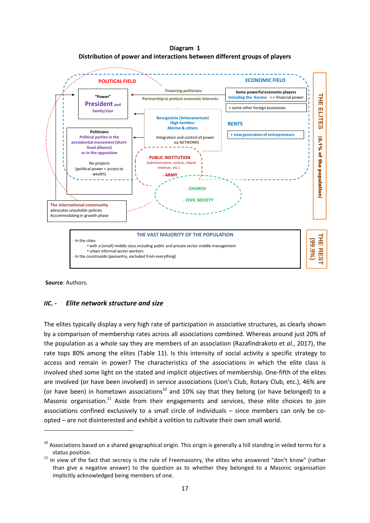**Diagram 1 Distribution of power and interactions between different groups of players**



**Source**: Authors.

**.** 

#### *IIC. - Elite network structure and size*

The elites typically display a very high rate of participation in associative structures, as clearly shown by a comparison of membership rates across all associations combined. Whereas around just 20% of the population as a whole say they are members of an association (Razafindrakoto et *al.*, 2017), the rate tops 80% among the elites (Table 11). Is this intensity of social activity a specific strategy to access and remain in power? The characteristics of the associations in which the elite class is involved shed some light on the stated and implicit objectives of membership. One-fifth of the elites are involved (or have been involved) in service associations (Lion's Club, Rotary Club, etc.), 46% are (or have been) in hometown associations<sup>10</sup> and 10% say that they belong (or have belonged) to a Masonic organisation. $^{11}$  Aside from their engagements and services, these elite choices to join associations confined exclusively to a small circle of individuals – since members can only be coopted – are not disinterested and exhibit a volition to cultivate their own small world.

 $10$  Associations based on a shared geographical origin. This origin is generally a hill standing in veiled terms for a status position.

 $11$  In view of the fact that secrecy is the rule of Freemasonry, the elites who answered "don't know" (rather than give a negative answer) to the question as to whether they belonged to a Masonic organisation implicitly acknowledged being members of one.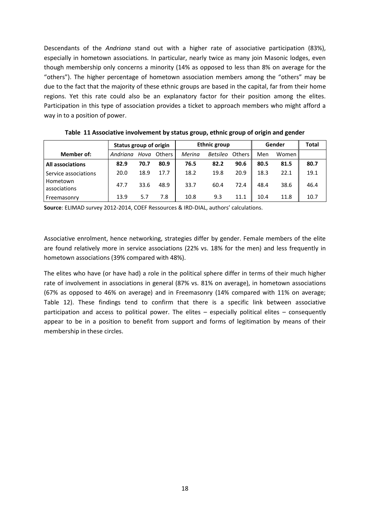Descendants of the *Andriana* stand out with a higher rate of associative participation (83%), especially in hometown associations. In particular, nearly twice as many join Masonic lodges, even though membership only concerns a minority (14% as opposed to less than 8% on average for the "others"). The higher percentage of hometown association members among the "others" may be due to the fact that the majority of these ethnic groups are based in the capital, far from their home regions. Yet this rate could also be an explanatory factor for their position among the elites. Participation in this type of association provides a ticket to approach members who might afford a way in to a position of power.

|                          | Status group of origin |      |               | <b>Ethnic group</b> |                 |               | Gender | Total   |      |
|--------------------------|------------------------|------|---------------|---------------------|-----------------|---------------|--------|---------|------|
| Member of:               | Andriana               | Hova | <b>Others</b> | Merina              | <b>Betsileo</b> | <b>Others</b> | Men    | Women I |      |
| <b>All associations</b>  | 82.9                   | 70.7 | 80.9          | 76.5                | 82.2            | 90.6          | 80.5   | 81.5    | 80.7 |
| Service associations     | 20.0                   | 18.9 | 17.7          | 18.2                | 19.8            | 20.9          | 18.3   | 22.1    | 19.1 |
| Hometown<br>associations | 47.7                   | 33.6 | 48.9          | 33.7                | 60.4            | 72.4          | 48.4   | 38.6    | 46.4 |
| Freemasonry              | 13.9                   | 5.7  | 7.8           | 10.8                | 9.3             | 11.1          | 10.4   | 11.8    | 10.7 |

**Table 11 Associative involvement by status group, ethnic group of origin and gender**

**Source**: ELIMAD survey 2012-2014, COEF Ressources & IRD-DIAL, authors' calculations.

Associative enrolment, hence networking, strategies differ by gender. Female members of the elite are found relatively more in service associations (22% vs. 18% for the men) and less frequently in hometown associations (39% compared with 48%).

The elites who have (or have had) a role in the political sphere differ in terms of their much higher rate of involvement in associations in general (87% vs. 81% on average), in hometown associations (67% as opposed to 46% on average) and in Freemasonry (14% compared with 11% on average; Table 12). These findings tend to confirm that there is a specific link between associative participation and access to political power. The elites – especially political elites – consequently appear to be in a position to benefit from support and forms of legitimation by means of their membership in these circles.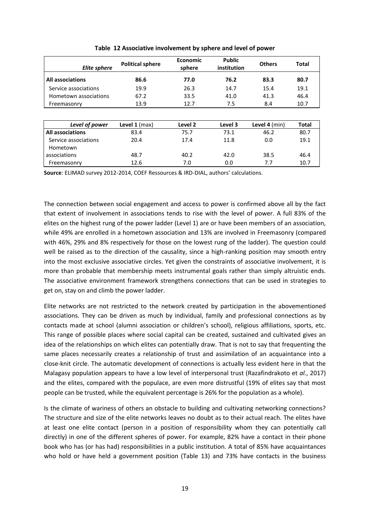| <b>Elite sphere</b>     | <b>Political sphere</b> | Economic<br>sphere | <b>Public</b><br>institution | <b>Others</b> | <b>Total</b> |
|-------------------------|-------------------------|--------------------|------------------------------|---------------|--------------|
| <b>All associations</b> | 86.6                    | 77.0               | 76.2                         | 83.3          | 80.7         |
| Service associations    | 19.9                    | 26.3               | 14.7                         | 15.4          | 19.1         |
| Hometown associations   | 67.2                    | 33.5               | 41.0                         | 41.3          | 46.4         |
| Freemasonry             | 13.9                    | 12.7               | 7.5                          | 8.4           | 10.7         |
|                         |                         |                    |                              |               |              |
| Level of power          | Level $1$ (max)         | Level 2            | Level 3                      | Level 4 (min) | <b>Total</b> |
| <b>All associations</b> | 83.4                    | 75.7               | 73.1                         | 46.2          | 80.7         |
| Service associations    | 20.4                    | 17.4               | 11.8                         | 0.0           | 19.1         |
| Hometown                |                         |                    |                              |               |              |
| associations            | 48.7                    | 40.2               | 42.0                         | 38.5          | 46.4         |
| Freemasonry             | 12.6                    | 7.0                | 0.0                          | 7.7           | 10.7         |

|  |  | Table 12 Associative involvement by sphere and level of power |  |  |
|--|--|---------------------------------------------------------------|--|--|
|--|--|---------------------------------------------------------------|--|--|

**Source**: ELIMAD survey 2012-2014, COEF Ressources & IRD-DIAL, authors' calculations.

The connection between social engagement and access to power is confirmed above all by the fact that extent of involvement in associations tends to rise with the level of power. A full 83% of the elites on the highest rung of the power ladder (Level 1) are or have been members of an association, while 49% are enrolled in a hometown association and 13% are involved in Freemasonry (compared with 46%, 29% and 8% respectively for those on the lowest rung of the ladder). The question could well be raised as to the direction of the causality, since a high-ranking position may smooth entry into the most exclusive associative circles. Yet given the constraints of associative involvement, it is more than probable that membership meets instrumental goals rather than simply altruistic ends. The associative environment framework strengthens connections that can be used in strategies to get on, stay on and climb the power ladder.

Elite networks are not restricted to the network created by participation in the abovementioned associations. They can be driven as much by individual, family and professional connections as by contacts made at school (alumni association or children's school), religious affiliations, sports, etc. This range of possible places where social capital can be created, sustained and cultivated gives an idea of the relationships on which elites can potentially draw. That is not to say that frequenting the same places necessarily creates a relationship of trust and assimilation of an acquaintance into a close-knit circle. The automatic development of connections is actually less evident here in that the Malagasy population appears to have a low level of interpersonal trust (Razafindrakoto et *al.*, 2017) and the elites, compared with the populace, are even more distrustful (19% of elites say that most people can be trusted, while the equivalent percentage is 26% for the population as a whole).

Is the climate of wariness of others an obstacle to building and cultivating networking connections? The structure and size of the elite networks leaves no doubt as to their actual reach. The elites have at least one elite contact (person in a position of responsibility whom they can potentially call directly) in one of the different spheres of power. For example, 82% have a contact in their phone book who has (or has had) responsibilities in a public institution. A total of 85% have acquaintances who hold or have held a government position (Table 13) and 73% have contacts in the business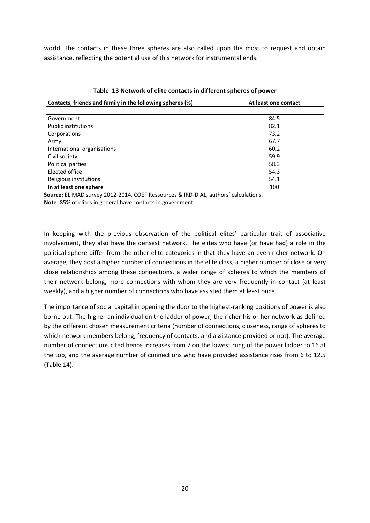world. The contacts in these three spheres are also called upon the most to request and obtain assistance, reflecting the potential use of this network for instrumental ends.

| Contacts, friends and family in the following spheres (%) | At least one contact |
|-----------------------------------------------------------|----------------------|
|                                                           |                      |
| Government                                                | 84.5                 |
| <b>Public institutions</b>                                | 82.1                 |
| Corporations                                              | 73.2                 |
| Army                                                      | 67.7                 |
| International organisations                               | 60.2                 |
| Civil society                                             | 59.9                 |
| Political parties                                         | 58.3                 |
| Elected office                                            | 54.3                 |
| Religious institutions                                    | 54.1                 |
| In at least one sphere                                    | 100                  |

**Table 13 Network of elite contacts in different spheres of power**

**Source**: ELIMAD survey 2012-2014, COEF Ressources & IRD-DIAL, authors' calculations. **Note**: 85% of elites in general have contacts in government.

In keeping with the previous observation of the political elites' particular trait of associative involvement, they also have the densest network. The elites who have (or have had) a role in the political sphere differ from the other elite categories in that they have an even richer network. On average, they post a higher number of connections in the elite class, a higher number of close or very close relationships among these connections, a wider range of spheres to which the members of their network belong, more connections with whom they are very frequently in contact (at least weekly), and a higher number of connections who have assisted them at least once.

The importance of social capital in opening the door to the highest-ranking positions of power is also borne out. The higher an individual on the ladder of power, the richer his or her network as defined by the different chosen measurement criteria (number of connections, closeness, range of spheres to which network members belong, frequency of contacts, and assistance provided or not). The average number of connections cited hence increases from 7 on the lowest rung of the power ladder to 16 at the top, and the average number of connections who have provided assistance rises from 6 to 12.5 (Table 14).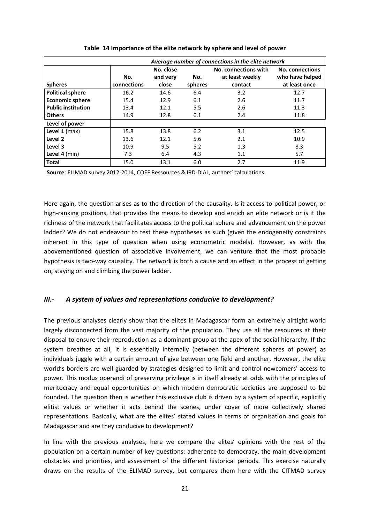|                           | Average number of connections in the elite network |           |         |                      |                        |  |
|---------------------------|----------------------------------------------------|-----------|---------|----------------------|------------------------|--|
|                           |                                                    | No. close |         | No. connections with | <b>No. connections</b> |  |
|                           | No.                                                | and very  | No.     | at least weekly      | who have helped        |  |
| <b>Spheres</b>            | connections                                        | close     | spheres | contact              | at least once          |  |
| <b>Political sphere</b>   | 16.2                                               | 14.6      | 6.4     | 3.2                  | 12.7                   |  |
| <b>Economic sphere</b>    | 15.4                                               | 12.9      | 6.1     | 2.6                  | 11.7                   |  |
| <b>Public institution</b> | 13.4                                               | 12.1      | 5.5     | 2.6                  | 11.3                   |  |
| <b>Others</b>             | 14.9                                               | 12.8      | 6.1     | 2.4                  | 11.8                   |  |
| Level of power            |                                                    |           |         |                      |                        |  |
| Level $1$ (max)           | 15.8                                               | 13.8      | 6.2     | 3.1                  | 12.5                   |  |
| Level <sub>2</sub>        | 13.6                                               | 12.1      | 5.6     | 2.1                  | 10.9                   |  |
| Level 3                   | 10.9                                               | 9.5       | 5.2     | 1.3                  | 8.3                    |  |
| Level $4$ (min)           | 7.3                                                | 6.4       | 4.3     | 1.1                  | 5.7                    |  |
| <b>Total</b>              | 15.0                                               | 13.1      | 6.0     | 2.7                  | 11.9                   |  |

**Table 14 Importance of the elite network by sphere and level of power** 

**Source**: ELIMAD survey 2012-2014, COEF Ressources & IRD-DIAL, authors' calculations.

Here again, the question arises as to the direction of the causality. Is it access to political power, or high-ranking positions, that provides the means to develop and enrich an elite network or is it the richness of the network that facilitates access to the political sphere and advancement on the power ladder? We do not endeavour to test these hypotheses as such (given the endogeneity constraints inherent in this type of question when using econometric models). However, as with the abovementioned question of associative involvement, we can venture that the most probable hypothesis is two-way causality. The network is both a cause and an effect in the process of getting on, staying on and climbing the power ladder.

#### *III.- A system of values and representations conducive to development?*

The previous analyses clearly show that the elites in Madagascar form an extremely airtight world largely disconnected from the vast majority of the population. They use all the resources at their disposal to ensure their reproduction as a dominant group at the apex of the social hierarchy. If the system breathes at all, it is essentially internally (between the different spheres of power) as individuals juggle with a certain amount of give between one field and another. However, the elite world's borders are well guarded by strategies designed to limit and control newcomers' access to power. This modus operandi of preserving privilege is in itself already at odds with the principles of meritocracy and equal opportunities on which modern democratic societies are supposed to be founded. The question then is whether this exclusive club is driven by a system of specific, explicitly elitist values or whether it acts behind the scenes, under cover of more collectively shared representations. Basically, what are the elites' stated values in terms of organisation and goals for Madagascar and are they conducive to development?

In line with the previous analyses, here we compare the elites' opinions with the rest of the population on a certain number of key questions: adherence to democracy, the main development obstacles and priorities, and assessment of the different historical periods. This exercise naturally draws on the results of the ELIMAD survey, but compares them here with the CITMAD survey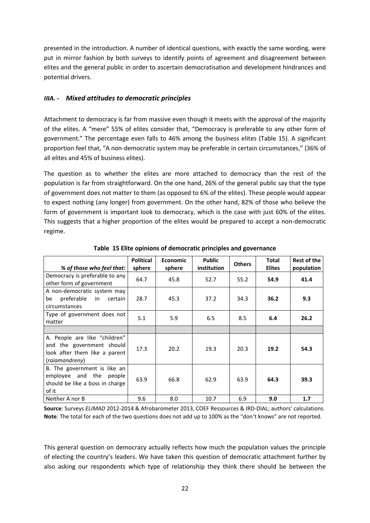presented in the introduction. A number of identical questions, with exactly the same wording, were put in mirror fashion by both surveys to identify points of agreement and disagreement between elites and the general public in order to ascertain democratisation and development hindrances and potential drivers.

#### *IIIA. - Mixed attitudes to democratic principles*

Attachment to democracy is far from massive even though it meets with the approval of the majority of the elites. A "mere" 55% of elites consider that, "Democracy is preferable to any other form of government." The percentage even falls to 46% among the business elites (Table 15). A significant proportion feel that, "A non-democratic system may be preferable in certain circumstances," (36% of all elites and 45% of business elites).

The question as to whether the elites are more attached to democracy than the rest of the population is far from straightforward. On the one hand, 26% of the general public say that the type of government does not matter to them (as opposed to 6% of the elites). These people would appear to expect nothing (any longer) from government. On the other hand, 82% of those who believe the form of government is important look to democracy, which is the case with just 60% of the elites. This suggests that a higher proportion of the elites would be prepared to accept a non-democratic regime.

| % of those who feel that:                                                                                     | <b>Political</b><br>sphere | <b>Economic</b><br>sphere | <b>Public</b><br>institution | <b>Others</b> | <b>Total</b><br><b>Elites</b> | <b>Rest of the</b><br>population |
|---------------------------------------------------------------------------------------------------------------|----------------------------|---------------------------|------------------------------|---------------|-------------------------------|----------------------------------|
| Democracy is preferable to any<br>other form of government                                                    | 64.7                       | 45.8                      | 52.7                         | 55.2          | 54.9                          | 41.4                             |
| A non-democratic system may<br>preferable in<br>be<br>certain<br>circumstances                                | 28.7                       | 45.3                      | 37.2                         | 34.3          | 36.2                          | 9.3                              |
| Type of government does not<br>matter                                                                         | 5.1                        | 5.9                       | 6.5                          | 8.5           | 6.4                           | 26.2                             |
|                                                                                                               |                            |                           |                              |               |                               |                                  |
| A. People are like "children"<br>and the government should<br>look after them like a parent<br>(raiamandreny) | 17.3                       | 20.2                      | 19.3                         | 20.3          | 19.2                          | 54.3                             |
| B. The government is like an<br>employee and the people<br>should be like a boss in charge<br>of it           | 63.9                       | 66.8                      | 62.9                         | 63.9          | 64.3                          | 39.3                             |
| Neither A nor B                                                                                               | 9.6                        | 8.0                       | 10.7                         | 6.9           | 9.0                           | 1.7                              |

**Table 15 Elite opinions of democratic principles and governance**

**Source**: Surveys *ELIMAD* 2012-2014 & Afrobarometer 2013, COEF Ressources & IRD-DIAL; authors' calculations. **Note***:* The total for each of the two questions does not add up to 100% as the "don't knows" are not reported.

This general question on democracy actually reflects how much the population values the principle of electing the country's leaders. We have taken this question of democratic attachment further by also asking our respondents which type of relationship they think there should be between the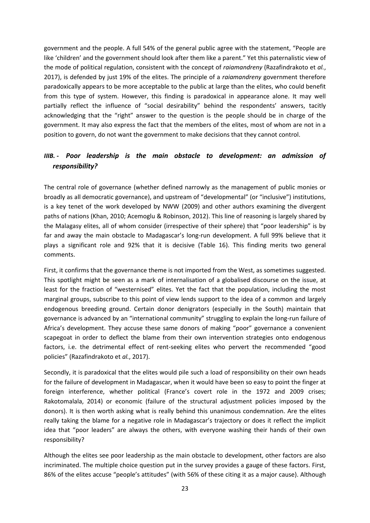government and the people. A full 54% of the general public agree with the statement, "People are like 'children' and the government should look after them like a parent." Yet this paternalistic view of the mode of political regulation, consistent with the concept of *raiamandreny* (Razafindrakoto et *al.*, 2017), is defended by just 19% of the elites. The principle of a *raiamandreny* government therefore paradoxically appears to be more acceptable to the public at large than the elites, who could benefit from this type of system. However, this finding is paradoxical in appearance alone. It may well partially reflect the influence of "social desirability" behind the respondents' answers, tacitly acknowledging that the "right" answer to the question is the people should be in charge of the government. It may also express the fact that the members of the elites, most of whom are not in a position to govern, do not want the government to make decisions that they cannot control.

#### *IIIB. - Poor leadership is the main obstacle to development: an admission of responsibility?*

The central role of governance (whether defined narrowly as the management of public monies or broadly as all democratic governance), and upstream of "developmental" (or "inclusive") institutions, is a key tenet of the work developed by NWW (2009) and other authors examining the divergent paths of nations (Khan, 2010; Acemoglu & Robinson, 2012). This line of reasoning is largely shared by the Malagasy elites, all of whom consider (irrespective of their sphere) that "poor leadership" is by far and away the main obstacle to Madagascar's long-run development. A full 99% believe that it plays a significant role and 92% that it is decisive (Table 16). This finding merits two general comments.

First, it confirms that the governance theme is not imported from the West, as sometimes suggested. This spotlight might be seen as a mark of internalisation of a globalised discourse on the issue, at least for the fraction of "westernised" elites. Yet the fact that the population, including the most marginal groups, subscribe to this point of view lends support to the idea of a common and largely endogenous breeding ground. Certain donor denigrators (especially in the South) maintain that governance is advanced by an "international community" struggling to explain the long-run failure of Africa's development. They accuse these same donors of making "poor" governance a convenient scapegoat in order to deflect the blame from their own intervention strategies onto endogenous factors, i.e. the detrimental effect of rent-seeking elites who pervert the recommended "good policies" (Razafindrakoto et *al.*, 2017).

Secondly, it is paradoxical that the elites would pile such a load of responsibility on their own heads for the failure of development in Madagascar, when it would have been so easy to point the finger at foreign interference, whether political (France's covert role in the 1972 and 2009 crises; Rakotomalala, 2014) or economic (failure of the structural adjustment policies imposed by the donors). It is then worth asking what is really behind this unanimous condemnation. Are the elites really taking the blame for a negative role in Madagascar's trajectory or does it reflect the implicit idea that "poor leaders" are always the others, with everyone washing their hands of their own responsibility?

Although the elites see poor leadership as the main obstacle to development, other factors are also incriminated. The multiple choice question put in the survey provides a gauge of these factors. First, 86% of the elites accuse "people's attitudes" (with 56% of these citing it as a major cause). Although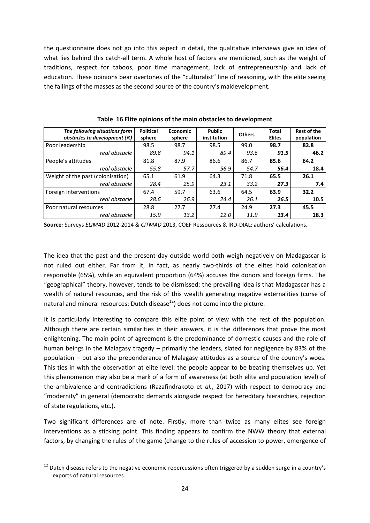the questionnaire does not go into this aspect in detail, the qualitative interviews give an idea of what lies behind this catch-all term. A whole host of factors are mentioned, such as the weight of traditions, respect for taboos, poor time management, lack of entrepreneurship and lack of education. These opinions bear overtones of the "culturalist" line of reasoning, with the elite seeing the failings of the masses as the second source of the country's maldevelopment.

| The following situations form<br>obstacles to development (%) | <b>Political</b><br>sphere | Economic<br>sphere | Public<br>institution | <b>Others</b> | Total<br><b>Elites</b> | <b>Rest of the</b><br>population |
|---------------------------------------------------------------|----------------------------|--------------------|-----------------------|---------------|------------------------|----------------------------------|
| Poor leadership                                               | 98.5                       | 98.7               | 98.5                  | 99.0          | 98.7                   | 82.8                             |
| real obstacle                                                 | 89.8                       | 94.1               | 89.4                  | 93.6          | 91.5                   | 46.2                             |
| People's attitudes                                            | 81.8                       | 87.9               | 86.6                  | 86.7          | 85.6                   | 64.2                             |
| real obstacle                                                 | 55.8                       | 57.7               | 56.9                  | 54.7          | 56.4                   | 18.4                             |
| Weight of the past (colonisation)                             | 65.1                       | 61.9               | 64.3                  | 71.8          | 65.5                   | 26.1                             |
| real obstacle                                                 | 28.4                       | 25.9               | 23.1                  | 33.2          | 27.3                   | 7.4                              |
| Foreign interventions                                         | 67.4                       | 59.7               | 63.6                  | 64.5          | 63.9                   | 32.2                             |
| real obstacle                                                 | 28.6                       | 26.9               | 24.4                  | 26.1          | 26.5                   | 10.5                             |
| Poor natural resources                                        | 28.8                       | 27.7               | 27.4                  | 24.9          | 27.3                   | 45.5                             |
| real obstacle                                                 | 15.9                       | 13.2               | 12.0                  | 11.9          | 13.4                   | 18.3                             |

**Table 16 Elite opinions of the main obstacles to development**

**Source***:* Surveys *ELIMAD* 2012-2014 & *CITMAD* 2013, COEF Ressources & IRD-DIAL; authors' calculations.

The idea that the past and the present-day outside world both weigh negatively on Madagascar is not ruled out either. Far from it, in fact, as nearly two-thirds of the elites hold colonisation responsible (65%), while an equivalent proportion (64%) accuses the donors and foreign firms. The "geographical" theory, however, tends to be dismissed: the prevailing idea is that Madagascar has a wealth of natural resources, and the risk of this wealth generating negative externalities (curse of natural and mineral resources: Dutch disease $^{12}$ ) does not come into the picture.

It is particularly interesting to compare this elite point of view with the rest of the population. Although there are certain similarities in their answers, it is the differences that prove the most enlightening. The main point of agreement is the predominance of domestic causes and the role of human beings in the Malagasy tragedy – primarily the leaders, slated for negligence by 83% of the population – but also the preponderance of Malagasy attitudes as a source of the country's woes. This ties in with the observation at elite level: the people appear to be beating themselves up. Yet this phenomenon may also be a mark of a form of awareness (at both elite and population level) of the ambivalence and contradictions (Razafindrakoto et *al.*, 2017) with respect to democracy and "modernity" in general (democratic demands alongside respect for hereditary hierarchies, rejection of state regulations, etc.).

Two significant differences are of note. Firstly, more than twice as many elites see foreign interventions as a sticking point. This finding appears to confirm the NWW theory that external factors, by changing the rules of the game (change to the rules of accession to power, emergence of

<sup>&</sup>lt;sup>12</sup> Dutch disease refers to the negative economic repercussions often triggered by a sudden surge in a country's exports of natural resources.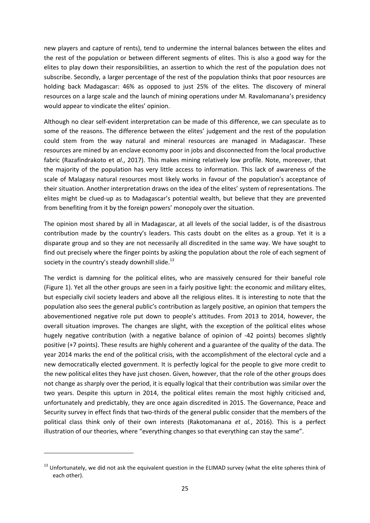new players and capture of rents), tend to undermine the internal balances between the elites and the rest of the population or between different segments of elites. This is also a good way for the elites to play down their responsibilities, an assertion to which the rest of the population does not subscribe. Secondly, a larger percentage of the rest of the population thinks that poor resources are holding back Madagascar: 46% as opposed to just 25% of the elites. The discovery of mineral resources on a large scale and the launch of mining operations under M. Ravalomanana's presidency would appear to vindicate the elites' opinion.

Although no clear self-evident interpretation can be made of this difference, we can speculate as to some of the reasons. The difference between the elites' judgement and the rest of the population could stem from the way natural and mineral resources are managed in Madagascar. These resources are mined by an enclave economy poor in jobs and disconnected from the local productive fabric (Razafindrakoto et *al.*, 2017). This makes mining relatively low profile. Note, moreover, that the majority of the population has very little access to information. This lack of awareness of the scale of Malagasy natural resources most likely works in favour of the population's acceptance of their situation. Another interpretation draws on the idea of the elites' system of representations. The elites might be clued-up as to Madagascar's potential wealth, but believe that they are prevented from benefiting from it by the foreign powers' monopoly over the situation.

The opinion most shared by all in Madagascar, at all levels of the social ladder, is of the disastrous contribution made by the country's leaders. This casts doubt on the elites as a group. Yet it is a disparate group and so they are not necessarily all discredited in the same way. We have sought to find out precisely where the finger points by asking the population about the role of each segment of society in the country's steady downhill slide.<sup>13</sup>

The verdict is damning for the political elites, who are massively censured for their baneful role (Figure 1). Yet all the other groups are seen in a fairly positive light: the economic and military elites, but especially civil society leaders and above all the religious elites. It is interesting to note that the population also sees the general public's contribution as largely positive, an opinion that tempers the abovementioned negative role put down to people's attitudes. From 2013 to 2014, however, the overall situation improves. The changes are slight, with the exception of the political elites whose hugely negative contribution (with a negative balance of opinion of -42 points) becomes slightly positive (+7 points). These results are highly coherent and a guarantee of the quality of the data. The year 2014 marks the end of the political crisis, with the accomplishment of the electoral cycle and a new democratically elected government. It is perfectly logical for the people to give more credit to the new political elites they have just chosen. Given, however, that the role of the other groups does not change as sharply over the period, it is equally logical that their contribution was similar over the two years. Despite this upturn in 2014, the political elites remain the most highly criticised and, unfortunately and predictably, they are once again discredited in 2015. The Governance, Peace and Security survey in effect finds that two-thirds of the general public consider that the members of the political class think only of their own interests (Rakotomanana *et al.*, 2016). This is a perfect illustration of our theories, where "everything changes so that everything can stay the same".

<sup>&</sup>lt;sup>13</sup> Unfortunately, we did not ask the equivalent question in the ELIMAD survey (what the elite spheres think of each other).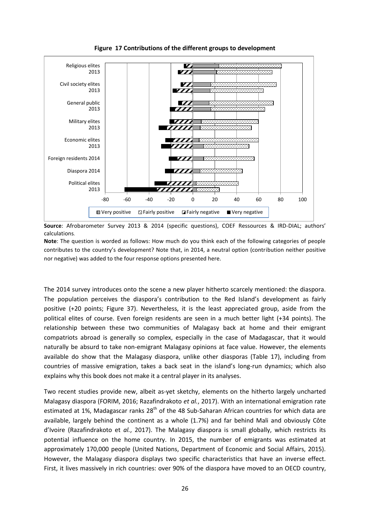

**Figure 17 Contributions of the different groups to development**

**Source**: Afrobarometer Survey 2013 & 2014 (specific questions), COEF Ressources & IRD-DIAL; authors' calculations.

**Note**: The question is worded as follows: How much do you think each of the following categories of people contributes to the country's development? Note that, in 2014, a neutral option (contribution neither positive nor negative) was added to the four response options presented here.

The 2014 survey introduces onto the scene a new player hitherto scarcely mentioned: the diaspora. The population perceives the diaspora's contribution to the Red Island's development as fairly positive (+20 points; Figure 37). Nevertheless, it is the least appreciated group, aside from the political elites of course. Even foreign residents are seen in a much better light (+34 points). The relationship between these two communities of Malagasy back at home and their emigrant compatriots abroad is generally so complex, especially in the case of Madagascar, that it would naturally be absurd to take non-emigrant Malagasy opinions at face value. However, the elements available do show that the Malagasy diaspora, unlike other diasporas (Table 17), including from countries of massive emigration, takes a back seat in the island's long-run dynamics; which also explains why this book does not make it a central player in its analyses.

Two recent studies provide new, albeit as-yet sketchy, elements on the hitherto largely uncharted Malagasy diaspora (FORIM, 2016; Razafindrakoto *et al.*, 2017). With an international emigration rate estimated at 1%, Madagascar ranks 28<sup>th</sup> of the 48 Sub-Saharan African countries for which data are available, largely behind the continent as a whole (1.7%) and far behind Mali and obviously Côte d'Ivoire (Razafindrakoto et *al.*, 2017). The Malagasy diaspora is small globally, which restricts its potential influence on the home country. In 2015, the number of emigrants was estimated at approximately 170,000 people (United Nations, Department of Economic and Social Affairs, 2015). However, the Malagasy diaspora displays two specific characteristics that have an inverse effect. First, it lives massively in rich countries: over 90% of the diaspora have moved to an OECD country,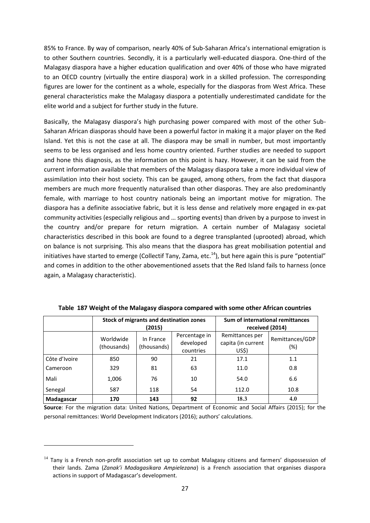85% to France. By way of comparison, nearly 40% of Sub-Saharan Africa's international emigration is to other Southern countries. Secondly, it is a particularly well-educated diaspora. One-third of the Malagasy diaspora have a higher education qualification and over 40% of those who have migrated to an OECD country (virtually the entire diaspora) work in a skilled profession. The corresponding figures are lower for the continent as a whole, especially for the diasporas from West Africa. These general characteristics make the Malagasy diaspora a potentially underestimated candidate for the elite world and a subject for further study in the future.

Basically, the Malagasy diaspora's high purchasing power compared with most of the other Sub-Saharan African diasporas should have been a powerful factor in making it a major player on the Red Island. Yet this is not the case at all. The diaspora may be small in number, but most importantly seems to be less organised and less home country oriented. Further studies are needed to support and hone this diagnosis, as the information on this point is hazy. However, it can be said from the current information available that members of the Malagasy diaspora take a more individual view of assimilation into their host society. This can be gauged, among others, from the fact that diaspora members are much more frequently naturalised than other diasporas. They are also predominantly female, with marriage to host country nationals being an important motive for migration. The diaspora has a definite associative fabric, but it is less dense and relatively more engaged in ex-pat community activities (especially religious and … sporting events) than driven by a purpose to invest in the country and/or prepare for return migration. A certain number of Malagasy societal characteristics described in this book are found to a degree transplanted (uprooted) abroad, which on balance is not surprising. This also means that the diaspora has great mobilisation potential and initiatives have started to emerge (Collectif Tany, Zama, etc.<sup>14</sup>), but here again this is pure "potential" and comes in addition to the other abovementioned assets that the Red Island fails to harness (once again, a Malagasy characteristic).

|               |                          | Stock of migrants and destination zones<br>(2015) | Sum of international remittances<br>received (2014) |                                                |                        |
|---------------|--------------------------|---------------------------------------------------|-----------------------------------------------------|------------------------------------------------|------------------------|
|               | Worldwide<br>(thousands) | In France<br>(thousands)                          | Percentage in<br>developed<br>countries             | Remittances per<br>capita (in current<br>US\$) | Remittances/GDP<br>(%) |
| Côte d'Ivoire | 850                      | 90                                                | 21                                                  | 17.1                                           | 1.1                    |
| Cameroon      | 329                      | 81                                                | 63                                                  | 11.0                                           | 0.8                    |
| Mali          | 1,006                    | 76                                                | 10                                                  | 54.0                                           | 6.6                    |
| Senegal       | 587                      | 118                                               | 54                                                  | 112.0                                          | 10.8                   |
| Madagascar    | 170                      | 143                                               | 92                                                  | 18.3                                           | 4.0                    |

**Table 187 Weight of the Malagasy diaspora compared with some other African countries**

**Source**: For the migration data: United Nations, Department of Economic and Social Affairs (2015); for the personal remittances: World Development Indicators (2016); authors' calculations.

 $14$  Tany is a French non-profit association set up to combat Malagasy citizens and farmers' dispossession of their lands. Zama (*Zanak'i Madagasikara Ampielezana*) is a French association that organises diaspora actions in support of Madagascar's development.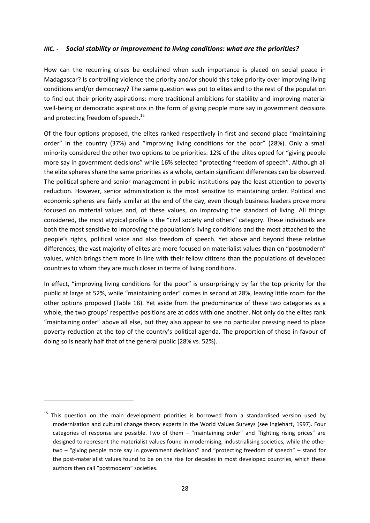#### *IIIC. - Social stability or improvement to living conditions: what are the priorities?*

How can the recurring crises be explained when such importance is placed on social peace in Madagascar? Is controlling violence the priority and/or should this take priority over improving living conditions and/or democracy? The same question was put to elites and to the rest of the population to find out their priority aspirations: more traditional ambitions for stability and improving material well-being or democratic aspirations in the form of giving people more say in government decisions and protecting freedom of speech.<sup>15</sup>

Of the four options proposed, the elites ranked respectively in first and second place "maintaining order" in the country (37%) and "improving living conditions for the poor" (28%). Only a small minority considered the other two options to be priorities: 12% of the elites opted for "giving people more say in government decisions" while 16% selected "protecting freedom of speech". Although all the elite spheres share the same priorities as a whole, certain significant differences can be observed. The political sphere and senior management in public institutions pay the least attention to poverty reduction. However, senior administration is the most sensitive to maintaining order. Political and economic spheres are fairly similar at the end of the day, even though business leaders prove more focused on material values and, of these values, on improving the standard of living. All things considered, the most atypical profile is the "civil society and others" category. These individuals are both the most sensitive to improving the population's living conditions and the most attached to the people's rights, political voice and also freedom of speech. Yet above and beyond these relative differences, the vast majority of elites are more focused on materialist values than on "postmodern" values, which brings them more in line with their fellow citizens than the populations of developed countries to whom they are much closer in terms of living conditions.

In effect, "improving living conditions for the poor" is unsurprisingly by far the top priority for the public at large at 52%, while "maintaining order" comes in second at 28%, leaving little room for the other options proposed (Table 18). Yet aside from the predominance of these two categories as a whole, the two groups' respective positions are at odds with one another. Not only do the elites rank "maintaining order" above all else, but they also appear to see no particular pressing need to place poverty reduction at the top of the country's political agenda. The proportion of those in favour of doing so is nearly half that of the general public (28% vs. 52%).

 $15$  This question on the main development priorities is borrowed from a standardised version used by modernisation and cultural change theory experts in the World Values Surveys (see Inglehart, 1997). Four categories of response are possible. Two of them – "maintaining order" and "fighting rising prices" are designed to represent the materialist values found in modernising, industrialising societies, while the other two – "giving people more say in government decisions" and "protecting freedom of speech" – stand for the post-materialist values found to be on the rise for decades in most developed countries, which these authors then call "postmodern" societies.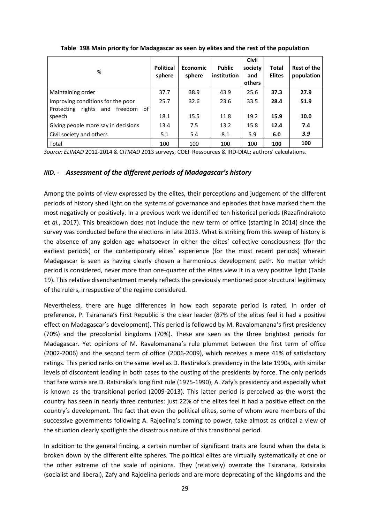| %                                                                        | <b>Political</b><br>sphere | <b>Economic</b><br>sphere | <b>Public</b><br>institution | <b>Civil</b><br>society<br>and<br>others | <b>Total</b><br><b>Elites</b> | Rest of the<br>population |
|--------------------------------------------------------------------------|----------------------------|---------------------------|------------------------------|------------------------------------------|-------------------------------|---------------------------|
| Maintaining order                                                        | 37.7                       | 38.9                      | 43.9                         | 25.6                                     | 37.3                          | 27.9                      |
| Improving conditions for the poor<br>Protecting rights and freedom<br>of | 25.7                       | 32.6                      | 23.6                         | 33.5                                     | 28.4                          | 51.9                      |
| speech                                                                   | 18.1                       | 15.5                      | 11.8                         | 19.2                                     | 15.9                          | 10.0                      |
| Giving people more say in decisions                                      | 13.4                       | 7.5                       | 13.2                         | 15.8                                     | 12.4                          | 7.4                       |
| Civil society and others                                                 | 5.1                        | 5.4                       | 8.1                          | 5.9                                      | 6.0                           | 3.9                       |
| Total                                                                    | 100                        | 100                       | 100                          | 100                                      | 100                           | 100                       |

**Table 198 Main priority for Madagascar as seen by elites and the rest of the population** 

*Source: ELIMAD* 2012-2014 & C*ITMAD* 2013 surveys, COEF Ressources & IRD-DIAL; authors' calculations.

#### *IIID. - Assessment of the different periods of Madagascar's history*

Among the points of view expressed by the elites, their perceptions and judgement of the different periods of history shed light on the systems of governance and episodes that have marked them the most negatively or positively. In a previous work we identified ten historical periods (Razafindrakoto et *al.*, 2017). This breakdown does not include the new term of office (starting in 2014) since the survey was conducted before the elections in late 2013. What is striking from this sweep of history is the absence of any golden age whatsoever in either the elites' collective consciousness (for the earliest periods) or the contemporary elites' experience (for the most recent periods) wherein Madagascar is seen as having clearly chosen a harmonious development path. No matter which period is considered, never more than one-quarter of the elites view it in a very positive light (Table 19). This relative disenchantment merely reflects the previously mentioned poor structural legitimacy of the rulers, irrespective of the regime considered.

Nevertheless, there are huge differences in how each separate period is rated. In order of preference, P. Tsiranana's First Republic is the clear leader (87% of the elites feel it had a positive effect on Madagascar's development). This period is followed by M. Ravalomanana's first presidency (70%) and the precolonial kingdoms (70%). These are seen as the three brightest periods for Madagascar. Yet opinions of M. Ravalomanana's rule plummet between the first term of office (2002-2006) and the second term of office (2006-2009), which receives a mere 41% of satisfactory ratings. This period ranks on the same level as D. Rastiraka's presidency in the late 1990s, with similar levels of discontent leading in both cases to the ousting of the presidents by force. The only periods that fare worse are D. Ratsiraka's long first rule (1975-1990), A. Zafy's presidency and especially what is known as the transitional period (2009-2013). This latter period is perceived as the worst the country has seen in nearly three centuries: just 22% of the elites feel it had a positive effect on the country's development. The fact that even the political elites, some of whom were members of the successive governments following A. Rajoelina's coming to power, take almost as critical a view of the situation clearly spotlights the disastrous nature of this transitional period.

In addition to the general finding, a certain number of significant traits are found when the data is broken down by the different elite spheres. The political elites are virtually systematically at one or the other extreme of the scale of opinions. They (relatively) overrate the Tsiranana, Ratsiraka (socialist and liberal), Zafy and Rajoelina periods and are more deprecating of the kingdoms and the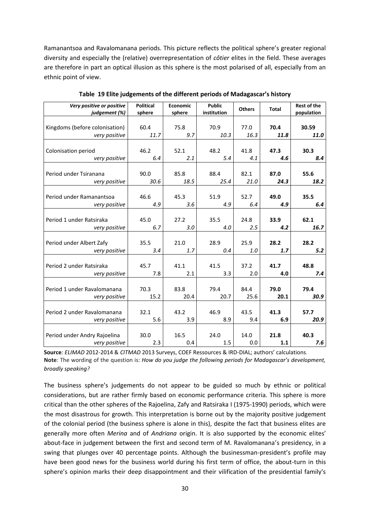Ramanantsoa and Ravalomanana periods. This picture reflects the political sphere's greater regional diversity and especially the (relative) overrepresentation of *côtier* elites in the field. These averages are therefore in part an optical illusion as this sphere is the most polarised of all, especially from an ethnic point of view.

| Very positive or positive<br>judgement (%) | <b>Political</b><br>sphere | Economic<br>sphere | <b>Public</b><br>institution | <b>Others</b> | <b>Total</b> | <b>Rest of the</b><br>population |
|--------------------------------------------|----------------------------|--------------------|------------------------------|---------------|--------------|----------------------------------|
| Kingdoms (before colonisation)             | 60.4                       | 75.8               | 70.9                         | 77.0          | 70.4         | 30.59                            |
| very positive                              | 11.7                       | 9.7                | 10.3                         | 16.3          | 11.8         | 11.0                             |
|                                            |                            |                    |                              |               |              |                                  |
| Colonisation period                        | 46.2                       | 52.1               | 48.2                         | 41.8          | 47.3         | 30.3                             |
| very positive                              | 6.4                        | 2.1                | 5.4                          | 4.1           | 4.6          | 8.4                              |
| Period under Tsiranana                     | 90.0                       | 85.8               | 88.4                         | 82.1          | 87.0         | 55.6                             |
| very positive                              | 30.6                       | 18.5               | 25.4                         | 21.0          | 24.3         | 18.2                             |
|                                            |                            |                    |                              |               |              |                                  |
| Period under Ramanantsoa                   | 46.6                       | 45.3               | 51.9                         | 52.7          | 49.0         | 35.5                             |
| very positive                              | 4.9                        | 3.6                | 4.9                          | 6.4           | 4.9          | 6.4                              |
|                                            |                            |                    |                              |               |              |                                  |
| Period 1 under Ratsiraka                   | 45.0                       | 27.2               | 35.5                         | 24.8          | 33.9         | 62.1                             |
| very positive                              | 6.7                        | 3.0                | 4.0                          | 2.5           | 4.2          | 16.7                             |
| Period under Albert Zafy                   | 35.5                       | 21.0               | 28.9                         | 25.9          | 28.2         | 28.2                             |
| very positive                              | 3.4                        | 1.7                | 0.4                          | 1.0           | 1.7          | 5.2                              |
|                                            |                            |                    |                              |               |              |                                  |
| Period 2 under Ratsiraka                   | 45.7                       | 41.1               | 41.5                         | 37.2          | 41.7         | 48.8                             |
| very positive                              | 7.8                        | 2.1                | 3.3                          | 2.0           | 4.0          | 7.4                              |
|                                            |                            |                    |                              |               |              |                                  |
| Period 1 under Ravalomanana                | 70.3                       | 83.8               | 79.4                         | 84.4          | 79.0         | 79.4                             |
| very positive                              | 15.2                       | 20.4               | 20.7                         | 25.6          | 20.1         | 30.9                             |
|                                            |                            |                    |                              |               |              |                                  |
| Period 2 under Ravalomanana                | 32.1                       | 43.2               | 46.9                         | 43.5          | 41.3         | 57.7                             |
| very positive                              | 5.6                        | 3.9                | 8.9                          | 9.4           | 6.9          | 20.9                             |
| Period under Andry Rajoelina               | 30.0                       | 16.5               | 24.0                         | 14.0          | 21.8         | 40.3                             |
| very positive                              | 2.3                        | 0.4                | 1.5                          | 0.0           | 1.1          | 7.6                              |

**Table 19 Elite judgements of the different periods of Madagascar's history**

**Source***: ELIMAD* 2012-2014 & *CITMAD* 2013 Surveys, COEF Ressources & IRD-DIAL; authors' calculations. **Note**: The wording of the question is: *How do you judge the following periods for Madagascar's development, broadly speaking?*

The business sphere's judgements do not appear to be guided so much by ethnic or political considerations, but are rather firmly based on economic performance criteria. This sphere is more critical than the other spheres of the Rajoelina, Zafy and Ratsiraka I (1975-1990) periods, which were the most disastrous for growth. This interpretation is borne out by the majority positive judgement of the colonial period (the business sphere is alone in this), despite the fact that business elites are generally more often *Merina* and of *Andriana* origin. It is also supported by the economic elites' about-face in judgement between the first and second term of M. Ravalomanana's presidency, in a swing that plunges over 40 percentage points. Although the businessman-president's profile may have been good news for the business world during his first term of office, the about-turn in this sphere's opinion marks their deep disappointment and their vilification of the presidential family's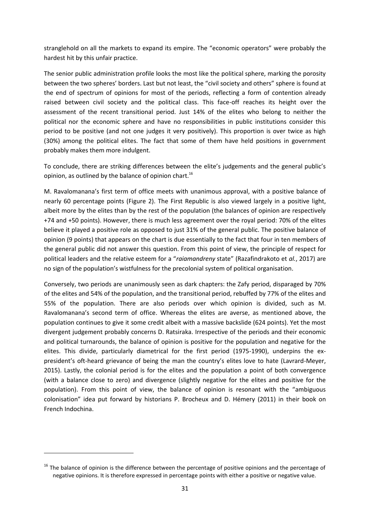stranglehold on all the markets to expand its empire. The "economic operators" were probably the hardest hit by this unfair practice.

The senior public administration profile looks the most like the political sphere, marking the porosity between the two spheres' borders. Last but not least, the "civil society and others" sphere is found at the end of spectrum of opinions for most of the periods, reflecting a form of contention already raised between civil society and the political class. This face-off reaches its height over the assessment of the recent transitional period. Just 14% of the elites who belong to neither the political nor the economic sphere and have no responsibilities in public institutions consider this period to be positive (and not one judges it very positively). This proportion is over twice as high (30%) among the political elites. The fact that some of them have held positions in government probably makes them more indulgent.

To conclude, there are striking differences between the elite's judgements and the general public's opinion, as outlined by the balance of opinion chart.<sup>16</sup>

M. Ravalomanana's first term of office meets with unanimous approval, with a positive balance of nearly 60 percentage points (Figure 2). The First Republic is also viewed largely in a positive light, albeit more by the elites than by the rest of the population (the balances of opinion are respectively +74 and +50 points). However, there is much less agreement over the royal period: 70% of the elites believe it played a positive role as opposed to just 31% of the general public. The positive balance of opinion (9 points) that appears on the chart is due essentially to the fact that four in ten members of the general public did not answer this question. From this point of view, the principle of respect for political leaders and the relative esteem for a "*raiamandreny* state" (Razafindrakoto et *al.*, 2017) are no sign of the population's wistfulness for the precolonial system of political organisation.

Conversely, two periods are unanimously seen as dark chapters: the Zafy period, disparaged by 70% of the elites and 54% of the population, and the transitional period, rebuffed by 77% of the elites and 55% of the population. There are also periods over which opinion is divided, such as M. Ravalomanana's second term of office. Whereas the elites are averse, as mentioned above, the population continues to give it some credit albeit with a massive backslide (624 points). Yet the most divergent judgement probably concerns D. Ratsiraka. Irrespective of the periods and their economic and political turnarounds, the balance of opinion is positive for the population and negative for the elites. This divide, particularly diametrical for the first period (1975-1990), underpins the expresident's oft-heard grievance of being the man the country's elites love to hate (Lavrard-Meyer, 2015). Lastly, the colonial period is for the elites and the population a point of both convergence (with a balance close to zero) and divergence (slightly negative for the elites and positive for the population). From this point of view, the balance of opinion is resonant with the "ambiguous colonisation" idea put forward by historians P. Brocheux and D. Hémery (2011) in their book on French Indochina.

<sup>&</sup>lt;sup>16</sup> The balance of opinion is the difference between the percentage of positive opinions and the percentage of negative opinions. It is therefore expressed in percentage points with either a positive or negative value.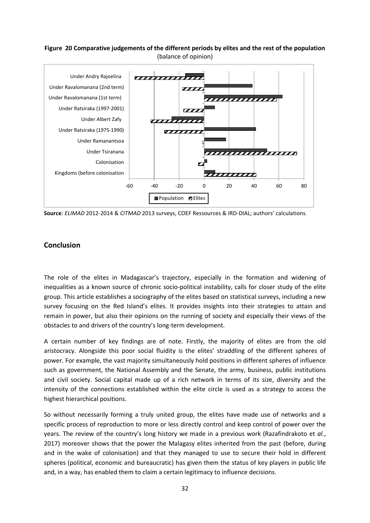#### **Figure 20 Comparative judgements of the different periods by elites and the rest of the population**  (balance of opinion)



**Source***: ELIMAD* 2012-2014 & *CITMAD* 2013 surveys, COEF Ressources & IRD-DIAL; authors' calculations.

#### **Conclusion**

The role of the elites in Madagascar's trajectory, especially in the formation and widening of inequalities as a known source of chronic socio-political instability, calls for closer study of the elite group. This article establishes a sociography of the elites based on statistical surveys, including a new survey focusing on the Red Island's elites. It provides insights into their strategies to attain and remain in power, but also their opinions on the running of society and especially their views of the obstacles to and drivers of the country's long-term development.

A certain number of key findings are of note. Firstly, the majority of elites are from the old aristocracy. Alongside this poor social fluidity is the elites' straddling of the different spheres of power. For example, the vast majority simultaneously hold positions in different spheres of influence such as government, the National Assembly and the Senate, the army, business, public institutions and civil society. Social capital made up of a rich network in terms of its size, diversity and the intensity of the connections established within the elite circle is used as a strategy to access the highest hierarchical positions.

So without necessarily forming a truly united group, the elites have made use of networks and a specific process of reproduction to more or less directly control and keep control of power over the years. The review of the country's long history we made in a previous work (Razafindrakoto et *al.*, 2017) moreover shows that the power the Malagasy elites inherited from the past (before, during and in the wake of colonisation) and that they managed to use to secure their hold in different spheres (political, economic and bureaucratic) has given them the status of key players in public life and, in a way, has enabled them to claim a certain legitimacy to influence decisions.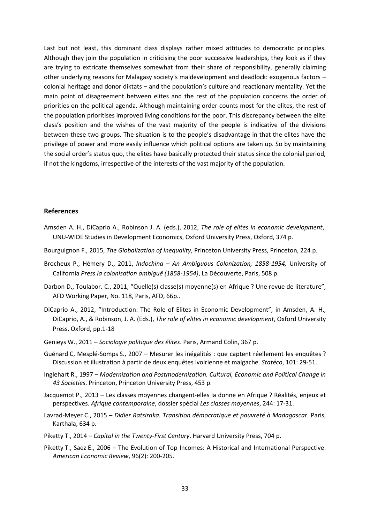Last but not least, this dominant class displays rather mixed attitudes to democratic principles. Although they join the population in criticising the poor successive leaderships, they look as if they are trying to extricate themselves somewhat from their share of responsibility, generally claiming other underlying reasons for Malagasy society's maldevelopment and deadlock: exogenous factors – colonial heritage and donor diktats – and the population's culture and reactionary mentality. Yet the main point of disagreement between elites and the rest of the population concerns the order of priorities on the political agenda. Although maintaining order counts most for the elites, the rest of the population prioritises improved living conditions for the poor. This discrepancy between the elite class's position and the wishes of the vast majority of the people is indicative of the divisions between these two groups. The situation is to the people's disadvantage in that the elites have the privilege of power and more easily influence which political options are taken up. So by maintaining the social order's status quo, the elites have basically protected their status since the colonial period, if not the kingdoms, irrespective of the interests of the vast majority of the population.

#### **References**

- Amsden A. H., DiCaprio A., Robinson J. A. (eds.), 2012, *The role of elites in economic development*,. UNU-WIDE Studies in Development Economics, Oxford University Press, Oxford, 374 p.
- Bourguignon F., 2015, *The Globalization of Inequality*, Princeton University Press, Princeton, 224 p.
- Brocheux P., Hémery D., 2011, *Indochina – An Ambiguous Colonization, 1858-1954,* University of California *Press la colonisation ambiguë (1858-1954)*, La Découverte, Paris, 508 p.
- Darbon D., Toulabor. C., 2011, "Quelle(s) classe(s) moyenne(s) en Afrique ? Une revue de literature", AFD Working Paper, No. 118, Paris, AFD, 66p..
- DiCaprio A., 2012, "Introduction: The Role of Elites in Economic Development", in Amsden, A. H., DiCaprio, A., & Robinson, J. A. (Eds.), *The role of elites in economic development*, Oxford University Press, Oxford, pp.1-18
- Genieys W., 2011 *Sociologie politique des élites*. Paris, Armand Colin, 367 p.
- Guénard C, Mesplé-Somps S., 2007 Mesurer les inégalités : que captent réellement les enquêtes ? Discussion et illustration à partir de deux enquêtes ivoirienne et malgache. *Statéco*, 101: 29-51.
- Inglehart R., 1997 *Modernization and Postmodernization. Cultural, Economic and Political Change in 43 Societies*. Princeton, Princeton University Press, 453 p.
- Jacquemot P., 2013 Les classes moyennes changent-elles la donne en Afrique ? Réalités, enjeux et perspectives. *Afrique contemporaine*, dossier spécial *Les classes moyennes*, 244: 17-31.
- Lavrad-Meyer C., 2015 *Didier Ratsiraka. Transition démocratique et pauvreté à Madagascar*. Paris, Karthala, 634 p.
- Piketty T., 2014 *Capital in the Twenty-First Century*. Harvard University Press, 704 p.
- Piketty T., Saez E., 2006 The Evolution of Top Incomes: A Historical and International Perspective. *American Economic Review*, 96(2): 200-205.